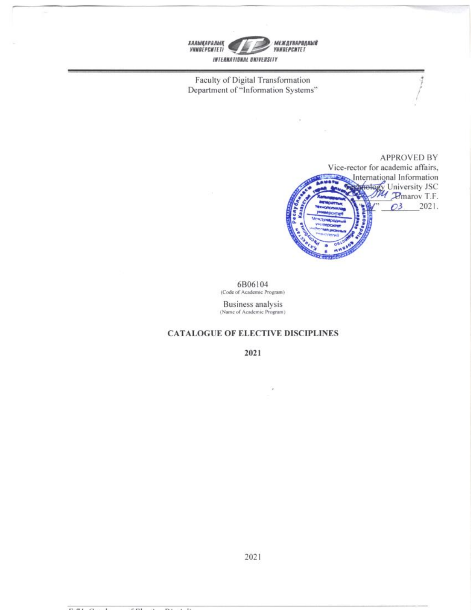

Faculty of Digital Transformation Department of "Information Systems"



6B06104 (Code of Academic Program)

Business analysis<br>(Name of Academic Program)

## **CATALOGUE OF ELECTIVE DISCIPLINES**

2021

2021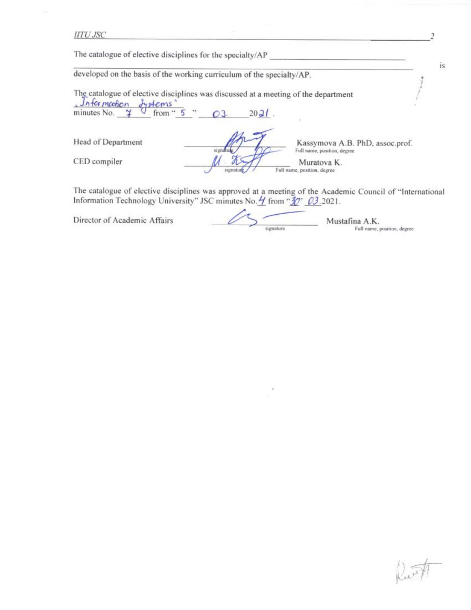**HTU JSC** 

The catalogue of elective disciplines for the specialty/AP

developed on the basis of the working curriculum of the specialty/AP.

The catalogue of elective disciplines was discussed at a meeting of the department  $Intor motion$ dystems'

minutes No. from " $5$  $2021$ .  $\rightarrow$ 03.

Head of Department

CED compiler

Kassymova A.B. PhD, assoc.prof. signati Full name, position, degree Muratova K. Full name, position, degree signati

The catalogue of elective disciplines was approved at a meeting of the Academic Council of "International Information Technology University" JSC minutes No. 4 from "30" 03.2021.

Director of Academic Affairs

Mustafina A.K. signature Full name, position, degree

is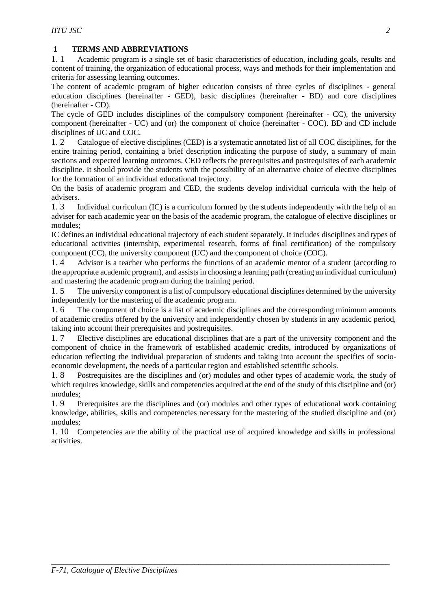## **1 TERMS AND ABBREVIATIONS**

1. 1 Academic program is a single set of basic characteristics of education, including goals, results and content of training, the organization of educational process, ways and methods for their implementation and criteria for assessing learning outcomes.

The content of academic program of higher education consists of three cycles of disciplines - general education disciplines (hereinafter - GED), basic disciplines (hereinafter - BD) and core disciplines (hereinafter - CD).

The cycle of GED includes disciplines of the compulsory component (hereinafter - CC), the university component (hereinafter - UC) and (or) the component of choice (hereinafter - COC). BD and CD include disciplines of UC and COC.

1. 2 Catalogue of elective disciplines (CED) is a systematic annotated list of all COC disciplines, for the entire training period, containing a brief description indicating the purpose of study, a summary of main sections and expected learning outcomes. СED reflects the prerequisites and postrequisites of each academic discipline. It should provide the students with the possibility of an alternative choice of elective disciplines for the formation of an individual educational trajectory.

On the basis of academic program and CED, the students develop individual curricula with the help of advisers.

1. 3 Individual curriculum (IC) is a curriculum formed by the students independently with the help of an adviser for each academic year on the basis of the academic program, the catalogue of elective disciplines or modules;

IC defines an individual educational trajectory of each student separately. It includes disciplines and types of educational activities (internship, experimental research, forms of final certification) of the compulsory component (CC), the university component (UC) and the component of choice (COC).

1. 4 Advisor is a teacher who performs the functions of an academic mentor of a student (according to the appropriate academic program), and assists in choosing a learning path (creating an individual curriculum) and mastering the academic program during the training period.

1. 5 The university component is a list of compulsory educational disciplines determined by the university independently for the mastering of the academic program.

1. 6 The component of choice is a list of academic disciplines and the corresponding minimum amounts of academic credits offered by the university and independently chosen by students in any academic period, taking into account their prerequisites and postrequisites.

1. 7 Elective disciplines are educational disciplines that are a part of the university component and the component of choice in the framework of established academic credits, introduced by organizations of education reflecting the individual preparation of students and taking into account the specifics of socioeconomic development, the needs of a particular region and established scientific schools.

1. 8 Postrequisites are the disciplines and (or) modules and other types of academic work, the study of which requires knowledge, skills and competencies acquired at the end of the study of this discipline and (or) modules;

1. 9 Prerequisites are the disciplines and (or) modules and other types of educational work containing knowledge, abilities, skills and competencies necessary for the mastering of the studied discipline and (or) modules;

1. 10 Competencies are the ability of the practical use of acquired knowledge and skills in professional activities.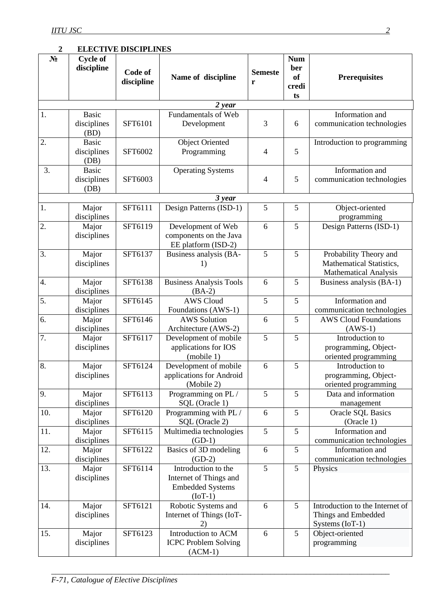## **2 ELECTIVE DISCIPLINES**

| $N_2$            | <b>Cycle of</b><br>discipline       | Code of<br>discipline | Name of discipline                                                                    | <b>Semeste</b><br>r | <b>Num</b><br>ber<br><b>of</b><br>credi<br>ts | <b>Prerequisites</b>                                                               |
|------------------|-------------------------------------|-----------------------|---------------------------------------------------------------------------------------|---------------------|-----------------------------------------------|------------------------------------------------------------------------------------|
|                  |                                     |                       | 2 year                                                                                |                     |                                               |                                                                                    |
| 1.               | <b>Basic</b><br>disciplines<br>(BD) | SFT6101               | <b>Fundamentals of Web</b><br>Development                                             | 3                   | 6                                             | Information and<br>communication technologies                                      |
| 2.               | <b>Basic</b><br>disciplines<br>(DB) | SFT6002               | <b>Object Oriented</b><br>Programming                                                 | $\overline{4}$      | 5                                             | Introduction to programming                                                        |
| 3.               | <b>Basic</b><br>disciplines<br>(DB) | SFT6003               | <b>Operating Systems</b>                                                              | $\overline{4}$      | 5                                             | Information and<br>communication technologies                                      |
|                  |                                     |                       | 3 year                                                                                |                     |                                               |                                                                                    |
| 1.               | Major<br>disciplines                | SFT6111               | Design Patterns (ISD-1)                                                               | 5                   | 5                                             | Object-oriented<br>programming                                                     |
| $\overline{2}$ . | Major<br>disciplines                | SFT6119               | Development of Web<br>components on the Java<br>EE platform (ISD-2)                   | 6                   | 5                                             | Design Patterns (ISD-1)                                                            |
| 3.               | Major<br>disciplines                | SFT6137               | Business analysis (BA-<br>1)                                                          | 5                   | 5                                             | Probability Theory and<br>Mathematical Statistics,<br><b>Mathematical Analysis</b> |
| 4.               | Major<br>disciplines                | SFT6138               | <b>Business Analysis Tools</b><br>$(BA-2)$                                            | 6                   | 5                                             | Business analysis (BA-1)                                                           |
| 5.               | Major<br>disciplines                | SFT6145               | <b>AWS Cloud</b><br>Foundations (AWS-1)                                               | 5                   | 5                                             | Information and<br>communication technologies                                      |
| 6.               | Major<br>disciplines                | SFT6146               | <b>AWS Solution</b><br>Architecture (AWS-2)                                           | 6                   | 5                                             | <b>AWS Cloud Foundations</b><br>$(AWS-1)$                                          |
| 7.               | Major<br>disciplines                | SFT6117               | Development of mobile<br>applications for IOS<br>(mobile 1)                           | 5                   | 5                                             | Introduction to<br>programming, Object-<br>oriented programming                    |
| 8.               | Major<br>disciplines                | SFT6124               | Development of mobile<br>applications for Android<br>(Mobile 2)                       | 6                   | 5                                             | Introduction to<br>programming, Object-<br>oriented programming                    |
| 9.               | Major<br>disciplines                | SFT6113               | Programming on PL /<br>SQL (Oracle 1)                                                 | 5                   | 5                                             | Data and information<br>management                                                 |
| 10.              | Major<br>disciplines                | SFT6120               | Programming with PL /<br>SQL (Oracle 2)                                               | 6                   | 5                                             | <b>Oracle SQL Basics</b><br>(Oracle 1)                                             |
| 11.              | Major<br>disciplines                | SFT6115               | Multimedia technologies<br>$(GD-1)$                                                   | 5                   | 5                                             | Information and<br>communication technologies                                      |
| 12.              | Major<br>disciplines                | SFT6122               | Basics of 3D modeling<br>$(GD-2)$                                                     | 6                   | $\overline{5}$                                | Information and<br>communication technologies                                      |
| 13.              | Major<br>disciplines                | SFT6114               | Introduction to the<br>Internet of Things and<br><b>Embedded Systems</b><br>$(IoT-1)$ | 5                   | 5                                             | Physics                                                                            |
| 14.              | Major<br>disciplines                | SFT6121               | Robotic Systems and<br>Internet of Things (IoT-<br>2)                                 | 6                   | 5                                             | Introduction to the Internet of<br>Things and Embedded<br>Systems (IoT-1)          |
| 15.              | Major<br>disciplines                | SFT6123               | Introduction to ACM<br><b>ICPC Problem Solving</b><br>$(ACM-1)$                       | 6                   | 5                                             | Object-oriented<br>programming                                                     |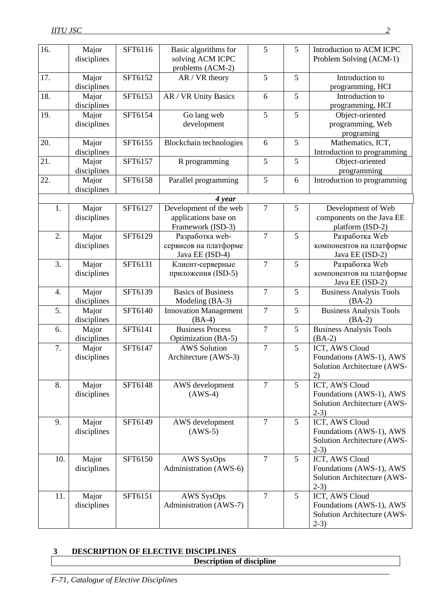| 16. | Major<br>disciplines | SFT6116 | Basic algorithms for<br>solving ACM ICPC     | 5                | 5              | Introduction to ACM ICPC<br>Problem Solving (ACM-1) |
|-----|----------------------|---------|----------------------------------------------|------------------|----------------|-----------------------------------------------------|
|     |                      |         | problems (ACM-2)                             |                  |                |                                                     |
| 17. | Major                | SFT6152 | AR / VR theory                               | 5                | 5              | Introduction to                                     |
|     | disciplines          |         |                                              |                  |                | programming, HCI                                    |
| 18. | Major                | SFT6153 | AR / VR Unity Basics                         | 6                | 5              | Introduction to                                     |
|     | disciplines          |         |                                              |                  |                | programming, HCI                                    |
| 19. | Major                | SFT6154 | Go lang web                                  | 5                | 5              | Object-oriented                                     |
|     | disciplines          |         | development                                  |                  |                | programming, Web                                    |
|     |                      |         |                                              |                  |                | programing                                          |
| 20. | Major                | SFT6155 | Blockchain technologies                      | 6                | 5              | Mathematics, ICT,                                   |
| 21. | disciplines          | SFT6157 | R programming                                | $\overline{5}$   | 5              | Introduction to programming<br>Object-oriented      |
|     | Major<br>disciplines |         |                                              |                  |                | programming                                         |
| 22. | Major                | SFT6158 | Parallel programming                         | 5                | 6              | Introduction to programming                         |
|     | disciplines          |         |                                              |                  |                |                                                     |
|     |                      |         | 4 year                                       |                  |                |                                                     |
| 1.  | Major                | SFT6127 | Development of the web                       | $\tau$           | 5              | Development of Web                                  |
|     | disciplines          |         | applications base on                         |                  |                | components on the Java EE                           |
|     |                      |         | Framework (ISD-3)                            |                  |                | platform (ISD-2)                                    |
| 2.  | Major                | SFT6129 | Разработка web-                              | $\overline{7}$   | 5              | Разработка Web                                      |
|     | disciplines          |         | сервисов на платформе                        |                  |                | компонентов на платформе                            |
|     |                      |         | Java EE (ISD-4)                              |                  |                | Java EE (ISD-2)                                     |
| 3.  | Major                | SFT6131 | Клиент-серверные                             | $\overline{7}$   | $\overline{5}$ | Разработка Web                                      |
|     | disciplines          |         | приложения (ISD-5)                           |                  |                | компонентов на платформе                            |
|     |                      |         |                                              |                  |                | Java EE (ISD-2)                                     |
| 4.  | Major<br>disciplines | SFT6139 | <b>Basics of Business</b><br>Modeling (BA-3) | $\overline{7}$   | 5              | <b>Business Analysis Tools</b><br>$(BA-2)$          |
| 5.  | Major                | SFT6140 | <b>Innovation Management</b>                 | $\overline{7}$   | 5              | <b>Business Analysis Tools</b>                      |
|     | disciplines          |         | $(BA-4)$                                     |                  |                | $(BA-2)$                                            |
| 6.  | Major                | SFT6141 | <b>Business Process</b>                      | $\overline{7}$   | $\overline{5}$ | <b>Business Analysis Tools</b>                      |
|     | disciplines          |         | Optimization (BA-5)                          |                  |                | $(BA-2)$                                            |
| 7.  | Major                | SFT6147 | <b>AWS Solution</b>                          | $\boldsymbol{7}$ | 5              | ICT, AWS Cloud                                      |
|     | disciplines          |         | Architecture (AWS-3)                         |                  |                | Foundations (AWS-1), AWS                            |
|     |                      |         |                                              |                  |                | Solution Architecture (AWS-<br>2)                   |
| 8.  | Major                | SFT6148 | AWS development                              | $\overline{7}$   | 5              | ICT, AWS Cloud                                      |
|     | disciplines          |         | $(AWS-4)$                                    |                  |                | Foundations (AWS-1), AWS                            |
|     |                      |         |                                              |                  |                | Solution Architecture (AWS-                         |
|     |                      |         |                                              |                  |                | $2-3)$                                              |
| 9.  | Major                | SFT6149 | AWS development                              | $\overline{7}$   | 5              | ICT, AWS Cloud                                      |
|     | disciplines          |         | $(AWS-5)$                                    |                  |                | Foundations (AWS-1), AWS                            |
|     |                      |         |                                              |                  |                | Solution Architecture (AWS-                         |
|     |                      |         |                                              |                  |                | $2-3)$                                              |
| 10. | Major                | SFT6150 | AWS SysOps                                   | $\overline{7}$   | 5              | ICT, AWS Cloud                                      |
|     | disciplines          |         | Administration (AWS-6)                       |                  |                | Foundations (AWS-1), AWS                            |
|     |                      |         |                                              |                  |                | Solution Architecture (AWS-                         |
|     |                      |         |                                              |                  |                | $2-3)$                                              |
| 11. | Major                | SFT6151 | AWS SysOps<br>Administration (AWS-7)         | $\overline{7}$   | 5              | ICT, AWS Cloud<br>Foundations (AWS-1), AWS          |
|     | disciplines          |         |                                              |                  |                | Solution Architecture (AWS-                         |
|     |                      |         |                                              |                  |                | $2-3)$                                              |
|     |                      |         |                                              |                  |                |                                                     |

## **3 DESCRIPTION OF ELECTIVE DISCIPLINES Description of discipline**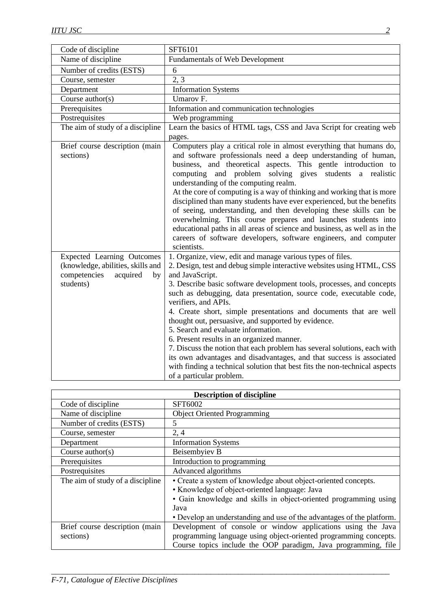| Code of discipline                                                                                                    | SFT6101                                                                                                                                                                                                                                                                                                                                                                                                                                                                                                                                                                                                                                                                                                                                                                                                       |
|-----------------------------------------------------------------------------------------------------------------------|---------------------------------------------------------------------------------------------------------------------------------------------------------------------------------------------------------------------------------------------------------------------------------------------------------------------------------------------------------------------------------------------------------------------------------------------------------------------------------------------------------------------------------------------------------------------------------------------------------------------------------------------------------------------------------------------------------------------------------------------------------------------------------------------------------------|
| Name of discipline                                                                                                    | <b>Fundamentals of Web Development</b>                                                                                                                                                                                                                                                                                                                                                                                                                                                                                                                                                                                                                                                                                                                                                                        |
| Number of credits (ESTS)                                                                                              | 6                                                                                                                                                                                                                                                                                                                                                                                                                                                                                                                                                                                                                                                                                                                                                                                                             |
| Course, semester                                                                                                      | 2, 3                                                                                                                                                                                                                                                                                                                                                                                                                                                                                                                                                                                                                                                                                                                                                                                                          |
| Department                                                                                                            | <b>Information Systems</b>                                                                                                                                                                                                                                                                                                                                                                                                                                                                                                                                                                                                                                                                                                                                                                                    |
| Course $\text{author}(s)$                                                                                             | Umarov <sub>F.</sub>                                                                                                                                                                                                                                                                                                                                                                                                                                                                                                                                                                                                                                                                                                                                                                                          |
| Prerequisites                                                                                                         | Information and communication technologies                                                                                                                                                                                                                                                                                                                                                                                                                                                                                                                                                                                                                                                                                                                                                                    |
| Postrequisites                                                                                                        | Web programming                                                                                                                                                                                                                                                                                                                                                                                                                                                                                                                                                                                                                                                                                                                                                                                               |
| The aim of study of a discipline                                                                                      | Learn the basics of HTML tags, CSS and Java Script for creating web<br>pages.                                                                                                                                                                                                                                                                                                                                                                                                                                                                                                                                                                                                                                                                                                                                 |
| Brief course description (main<br>sections)                                                                           | Computers play a critical role in almost everything that humans do,<br>and software professionals need a deep understanding of human,<br>business, and theoretical aspects. This gentle introduction to<br>computing and problem solving gives students a realistic<br>understanding of the computing realm.<br>At the core of computing is a way of thinking and working that is more<br>disciplined than many students have ever experienced, but the benefits<br>of seeing, understanding, and then developing these skills can be<br>overwhelming. This course prepares and launches students into<br>educational paths in all areas of science and business, as well as in the<br>careers of software developers, software engineers, and computer<br>scientists.                                        |
| <b>Expected Learning Outcomes</b><br>(knowledge, abilities, skills and<br>competencies<br>acquired<br>by<br>students) | 1. Organize, view, edit and manage various types of files.<br>2. Design, test and debug simple interactive websites using HTML, CSS<br>and JavaScript.<br>3. Describe basic software development tools, processes, and concepts<br>such as debugging, data presentation, source code, executable code,<br>verifiers, and APIs.<br>4. Create short, simple presentations and documents that are well<br>thought out, persuasive, and supported by evidence.<br>5. Search and evaluate information.<br>6. Present results in an organized manner.<br>7. Discuss the notion that each problem has several solutions, each with<br>its own advantages and disadvantages, and that success is associated<br>with finding a technical solution that best fits the non-technical aspects<br>of a particular problem. |

| <b>Description of discipline</b> |                                                                       |  |
|----------------------------------|-----------------------------------------------------------------------|--|
| Code of discipline               | SFT6002                                                               |  |
| Name of discipline               | <b>Object Oriented Programming</b>                                    |  |
| Number of credits (ESTS)         | 5                                                                     |  |
| Course, semester                 | 2, 4                                                                  |  |
| Department                       | <b>Information Systems</b>                                            |  |
| Course $\text{author}(s)$        | Beisembyiev B                                                         |  |
| Prerequisites                    | Introduction to programming                                           |  |
| Postrequisites                   | Advanced algorithms                                                   |  |
| The aim of study of a discipline | • Create a system of knowledge about object-oriented concepts.        |  |
|                                  | • Knowledge of object-oriented language: Java                         |  |
|                                  | • Gain knowledge and skills in object-oriented programming using      |  |
|                                  | Java                                                                  |  |
|                                  | • Develop an understanding and use of the advantages of the platform. |  |
| Brief course description (main   | Development of console or window applications using the Java          |  |
| sections)                        | programming language using object-oriented programming concepts.      |  |
|                                  | Course topics include the OOP paradigm, Java programming, file        |  |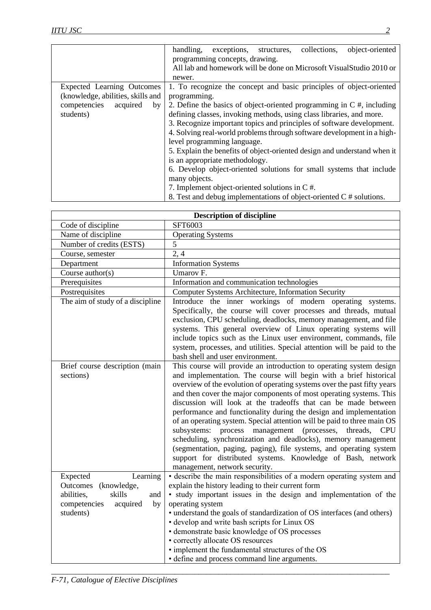|                                   | object-oriented<br>handling,<br>collections,<br>exceptions,<br>structures, |
|-----------------------------------|----------------------------------------------------------------------------|
|                                   | programming concepts, drawing.                                             |
|                                   | All lab and homework will be done on Microsoft Visual Studio 2010 or       |
|                                   | newer.                                                                     |
| Expected Learning Outcomes        | 1. To recognize the concept and basic principles of object-oriented        |
| (knowledge, abilities, skills and | programming.                                                               |
| competencies<br>acquired<br>by    | 2. Define the basics of object-oriented programming in $C \#$ , including  |
| students)                         | defining classes, invoking methods, using class libraries, and more.       |
|                                   | 3. Recognize important topics and principles of software development.      |
|                                   | 4. Solving real-world problems through software development in a high-     |
|                                   | level programming language.                                                |
|                                   | 5. Explain the benefits of object-oriented design and understand when it   |
|                                   | is an appropriate methodology.                                             |
|                                   | 6. Develop object-oriented solutions for small systems that include        |
|                                   | many objects.                                                              |
|                                   | 7. Implement object-oriented solutions in C #.                             |
|                                   | 8. Test and debug implementations of object-oriented $C \#$ solutions.     |

| <b>Description of discipline</b>                                                                                              |                                                                                                                                                                                                                                                                                                                                                                                                                                                                                                                                                                                                                                                                                                                                                                                                                            |  |
|-------------------------------------------------------------------------------------------------------------------------------|----------------------------------------------------------------------------------------------------------------------------------------------------------------------------------------------------------------------------------------------------------------------------------------------------------------------------------------------------------------------------------------------------------------------------------------------------------------------------------------------------------------------------------------------------------------------------------------------------------------------------------------------------------------------------------------------------------------------------------------------------------------------------------------------------------------------------|--|
| Code of discipline                                                                                                            | SFT6003                                                                                                                                                                                                                                                                                                                                                                                                                                                                                                                                                                                                                                                                                                                                                                                                                    |  |
| Name of discipline                                                                                                            | <b>Operating Systems</b>                                                                                                                                                                                                                                                                                                                                                                                                                                                                                                                                                                                                                                                                                                                                                                                                   |  |
| Number of credits (ESTS)                                                                                                      | 5                                                                                                                                                                                                                                                                                                                                                                                                                                                                                                                                                                                                                                                                                                                                                                                                                          |  |
| Course, semester                                                                                                              | 2, 4                                                                                                                                                                                                                                                                                                                                                                                                                                                                                                                                                                                                                                                                                                                                                                                                                       |  |
| Department                                                                                                                    | <b>Information Systems</b>                                                                                                                                                                                                                                                                                                                                                                                                                                                                                                                                                                                                                                                                                                                                                                                                 |  |
| Course author(s)                                                                                                              | Umarov <sub>F.</sub>                                                                                                                                                                                                                                                                                                                                                                                                                                                                                                                                                                                                                                                                                                                                                                                                       |  |
| Prerequisites                                                                                                                 | Information and communication technologies                                                                                                                                                                                                                                                                                                                                                                                                                                                                                                                                                                                                                                                                                                                                                                                 |  |
| Postrequisites                                                                                                                | Computer Systems Architecture, Information Security                                                                                                                                                                                                                                                                                                                                                                                                                                                                                                                                                                                                                                                                                                                                                                        |  |
| The aim of study of a discipline                                                                                              | Introduce the inner workings of modern operating systems.<br>Specifically, the course will cover processes and threads, mutual<br>exclusion, CPU scheduling, deadlocks, memory management, and file<br>systems. This general overview of Linux operating systems will<br>include topics such as the Linux user environment, commands, file<br>system, processes, and utilities. Special attention will be paid to the<br>bash shell and user environment.                                                                                                                                                                                                                                                                                                                                                                  |  |
| Brief course description (main<br>sections)                                                                                   | This course will provide an introduction to operating system design<br>and implementation. The course will begin with a brief historical<br>overview of the evolution of operating systems over the past fifty years<br>and then cover the major components of most operating systems. This<br>discussion will look at the tradeoffs that can be made between<br>performance and functionality during the design and implementation<br>of an operating system. Special attention will be paid to three main OS<br>subsystems: process management (processes, threads,<br><b>CPU</b><br>scheduling, synchronization and deadlocks), memory management<br>(segmentation, paging, paging), file systems, and operating system<br>support for distributed systems. Knowledge of Bash, network<br>management, network security. |  |
| Expected<br>Learning<br>Outcomes<br>(knowledge,<br>skills<br>abilities,<br>and<br>competencies<br>acquired<br>by<br>students) | • describe the main responsibilities of a modern operating system and<br>explain the history leading to their current form<br>· study important issues in the design and implementation of the<br>operating system<br>• understand the goals of standardization of OS interfaces (and others)<br>• develop and write bash scripts for Linux OS<br>• demonstrate basic knowledge of OS processes<br>• correctly allocate OS resources<br>• implement the fundamental structures of the OS<br>• define and process command line arguments.                                                                                                                                                                                                                                                                                   |  |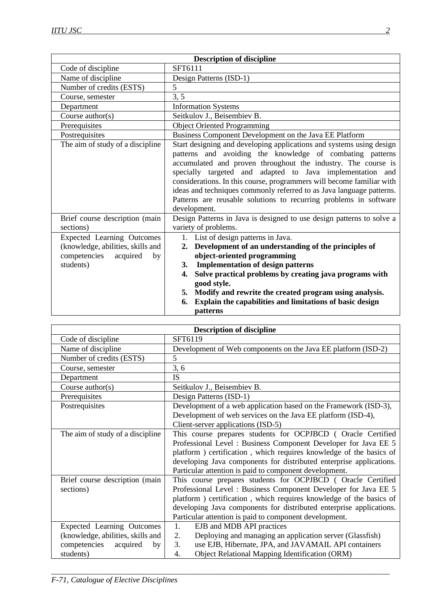| <b>Description of discipline</b>  |                                                                                                                            |  |
|-----------------------------------|----------------------------------------------------------------------------------------------------------------------------|--|
| Code of discipline                | SFT6111                                                                                                                    |  |
| Name of discipline                | Design Patterns (ISD-1)                                                                                                    |  |
| Number of credits (ESTS)          | 5                                                                                                                          |  |
| Course, semester                  | 3, 5                                                                                                                       |  |
| Department                        | <b>Information Systems</b>                                                                                                 |  |
| Course $\text{author}(s)$         | Seitkulov J., Beisembiev B.                                                                                                |  |
| Prerequisites                     | <b>Object Oriented Programming</b>                                                                                         |  |
| Postrequisites                    | Business Component Development on the Java EE Platform                                                                     |  |
| The aim of study of a discipline  | Start designing and developing applications and systems using design                                                       |  |
|                                   | patterns and avoiding the knowledge of combating patterns                                                                  |  |
|                                   | accumulated and proven throughout the industry. The course is<br>specially targeted and adapted to Java implementation and |  |
|                                   |                                                                                                                            |  |
|                                   | considerations. In this course, programmers will become familiar with                                                      |  |
|                                   | ideas and techniques commonly referred to as Java language patterns.                                                       |  |
|                                   | Patterns are reusable solutions to recurring problems in software<br>development.                                          |  |
| Brief course description (main    | Design Patterns in Java is designed to use design patterns to solve a                                                      |  |
| sections)                         | variety of problems.                                                                                                       |  |
| <b>Expected Learning Outcomes</b> | 1. List of design patterns in Java.                                                                                        |  |
| (knowledge, abilities, skills and | Development of an understanding of the principles of<br>2.                                                                 |  |
| competencies<br>acquired<br>by    | object-oriented programming                                                                                                |  |
| students)                         | <b>Implementation of design patterns</b><br>3.                                                                             |  |
|                                   | Solve practical problems by creating java programs with<br>4.                                                              |  |
|                                   | good style.                                                                                                                |  |
|                                   | Modify and rewrite the created program using analysis.<br>5.                                                               |  |
|                                   | Explain the capabilities and limitations of basic design<br>6.                                                             |  |
|                                   | patterns                                                                                                                   |  |

| <b>Description of discipline</b>  |                                                                                                    |  |
|-----------------------------------|----------------------------------------------------------------------------------------------------|--|
| Code of discipline                | SFT6119                                                                                            |  |
| Name of discipline                | Development of Web components on the Java EE platform (ISD-2)                                      |  |
| Number of credits (ESTS)          | 5                                                                                                  |  |
| Course, semester                  | 3, 6                                                                                               |  |
| Department                        | <b>IS</b>                                                                                          |  |
| Course $\text{author}(s)$         | Seitkulov J., Beisembiev B.                                                                        |  |
| Prerequisites                     | Design Patterns (ISD-1)                                                                            |  |
| Postrequisites                    | Development of a web application based on the Framework (ISD-3),                                   |  |
|                                   | Development of web services on the Java EE platform (ISD-4),<br>Client-server applications (ISD-5) |  |
| The aim of study of a discipline  | This course prepares students for OCPJBCD (Oracle Certified                                        |  |
|                                   | Professional Level : Business Component Developer for Java EE 5                                    |  |
|                                   | platform) certification, which requires knowledge of the basics of                                 |  |
|                                   | developing Java components for distributed enterprise applications.                                |  |
|                                   | Particular attention is paid to component development.                                             |  |
| Brief course description (main    | This course prepares students for OCPJBCD (Oracle Certified                                        |  |
| sections)                         | Professional Level: Business Component Developer for Java EE 5                                     |  |
|                                   | platform ) certification, which requires knowledge of the basics of                                |  |
|                                   | developing Java components for distributed enterprise applications.                                |  |
|                                   | Particular attention is paid to component development.                                             |  |
| Expected Learning Outcomes        | 1.<br>EJB and MDB API practices                                                                    |  |
| (knowledge, abilities, skills and | Deploying and managing an application server (Glassfish)<br>2.                                     |  |
| competencies<br>acquired<br>by    | 3.<br>use EJB, Hibernate, JPA, and JAVAMAIL API containers                                         |  |
| students)                         | Object Relational Mapping Identification (ORM)<br>4.                                               |  |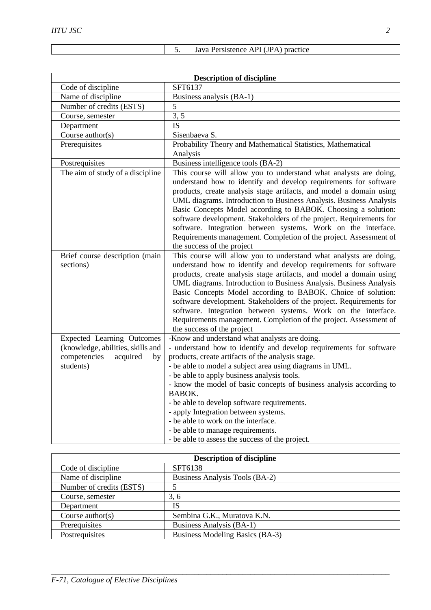| 5. |  | Java Persistence API (JPA) practice |  |
|----|--|-------------------------------------|--|
|----|--|-------------------------------------|--|

| <b>Description of discipline</b>                                                                                      |                                                                                                                                                                                                                                                                                                                                                                                                                                                                                                                                                                                                    |  |
|-----------------------------------------------------------------------------------------------------------------------|----------------------------------------------------------------------------------------------------------------------------------------------------------------------------------------------------------------------------------------------------------------------------------------------------------------------------------------------------------------------------------------------------------------------------------------------------------------------------------------------------------------------------------------------------------------------------------------------------|--|
| Code of discipline                                                                                                    | SFT6137                                                                                                                                                                                                                                                                                                                                                                                                                                                                                                                                                                                            |  |
| Name of discipline                                                                                                    | Business analysis (BA-1)                                                                                                                                                                                                                                                                                                                                                                                                                                                                                                                                                                           |  |
| Number of credits (ESTS)                                                                                              | 5                                                                                                                                                                                                                                                                                                                                                                                                                                                                                                                                                                                                  |  |
| Course, semester                                                                                                      | 3, 5                                                                                                                                                                                                                                                                                                                                                                                                                                                                                                                                                                                               |  |
| Department                                                                                                            | <b>IS</b>                                                                                                                                                                                                                                                                                                                                                                                                                                                                                                                                                                                          |  |
| Course author(s)                                                                                                      | Sisenbaeva S.                                                                                                                                                                                                                                                                                                                                                                                                                                                                                                                                                                                      |  |
| Prerequisites                                                                                                         | Probability Theory and Mathematical Statistics, Mathematical                                                                                                                                                                                                                                                                                                                                                                                                                                                                                                                                       |  |
|                                                                                                                       | Analysis                                                                                                                                                                                                                                                                                                                                                                                                                                                                                                                                                                                           |  |
| Postrequisites                                                                                                        | Business intelligence tools (BA-2)                                                                                                                                                                                                                                                                                                                                                                                                                                                                                                                                                                 |  |
| The aim of study of a discipline                                                                                      | This course will allow you to understand what analysts are doing,<br>understand how to identify and develop requirements for software<br>products, create analysis stage artifacts, and model a domain using<br>UML diagrams. Introduction to Business Analysis. Business Analysis<br>Basic Concepts Model according to BABOK. Choosing a solution:<br>software development. Stakeholders of the project. Requirements for<br>software. Integration between systems. Work on the interface.<br>Requirements management. Completion of the project. Assessment of<br>the success of the project     |  |
| Brief course description (main<br>sections)                                                                           | This course will allow you to understand what analysts are doing,<br>understand how to identify and develop requirements for software<br>products, create analysis stage artifacts, and model a domain using<br>UML diagrams. Introduction to Business Analysis. Business Analysis<br>Basic Concepts Model according to BABOK. Choice of solution:<br>software development. Stakeholders of the project. Requirements for<br>software. Integration between systems. Work on the interface.<br>Requirements management. Completion of the project. Assessment of<br>the success of the project      |  |
| <b>Expected Learning Outcomes</b><br>(knowledge, abilities, skills and<br>competencies<br>acquired<br>by<br>students) | -Know and understand what analysts are doing.<br>- understand how to identify and develop requirements for software<br>products, create artifacts of the analysis stage.<br>- be able to model a subject area using diagrams in UML.<br>- be able to apply business analysis tools.<br>- know the model of basic concepts of business analysis according to<br><b>BABOK.</b><br>- be able to develop software requirements.<br>- apply Integration between systems.<br>- be able to work on the interface.<br>- be able to manage requirements.<br>- be able to assess the success of the project. |  |

| <b>Description of discipline</b> |                                 |  |
|----------------------------------|---------------------------------|--|
| Code of discipline               | SFT6138                         |  |
| Name of discipline               | Business Analysis Tools (BA-2)  |  |
| Number of credits (ESTS)         |                                 |  |
| Course, semester                 | 3, 6                            |  |
| Department                       | IS                              |  |
| Course $\text{author}(s)$        | Sembina G.K., Muratova K.N.     |  |
| Prerequisites                    | Business Analysis (BA-1)        |  |
| Postrequisites                   | Business Modeling Basics (BA-3) |  |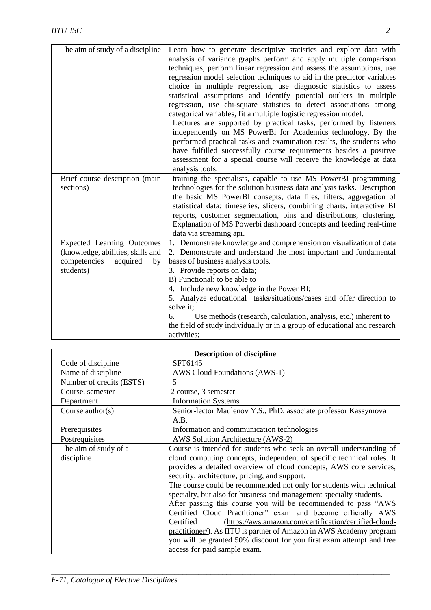| The aim of study of a discipline                                                                                      | Learn how to generate descriptive statistics and explore data with<br>analysis of variance graphs perform and apply multiple comparison<br>techniques, perform linear regression and assess the assumptions, use<br>regression model selection techniques to aid in the predictor variables<br>choice in multiple regression, use diagnostic statistics to assess<br>statistical assumptions and identify potential outliers in multiple<br>regression, use chi-square statistics to detect associations among<br>categorical variables, fit a multiple logistic regression model.<br>Lectures are supported by practical tasks, performed by listeners<br>independently on MS PowerBi for Academics technology. By the<br>performed practical tasks and examination results, the students who<br>have fulfilled successfully course requirements besides a positive<br>assessment for a special course will receive the knowledge at data<br>analysis tools. |
|-----------------------------------------------------------------------------------------------------------------------|---------------------------------------------------------------------------------------------------------------------------------------------------------------------------------------------------------------------------------------------------------------------------------------------------------------------------------------------------------------------------------------------------------------------------------------------------------------------------------------------------------------------------------------------------------------------------------------------------------------------------------------------------------------------------------------------------------------------------------------------------------------------------------------------------------------------------------------------------------------------------------------------------------------------------------------------------------------|
| Brief course description (main<br>sections)                                                                           | training the specialists, capable to use MS PowerBI programming<br>technologies for the solution business data analysis tasks. Description<br>the basic MS PowerBI consepts, data files, filters, aggregation of<br>statistical data: timeseries, slicers, combining charts, interactive BI<br>reports, customer segmentation, bins and distributions, clustering.<br>Explanation of MS Powerbi dashboard concepts and feeding real-time<br>data via streaming api.                                                                                                                                                                                                                                                                                                                                                                                                                                                                                           |
| <b>Expected Learning Outcomes</b><br>(knowledge, abilities, skills and<br>competencies<br>acquired<br>by<br>students) | 1. Demonstrate knowledge and comprehension on visualization of data<br>2. Demonstrate and understand the most important and fundamental<br>bases of business analysis tools.<br>3. Provide reports on data;<br>B) Functional: to be able to<br>4. Include new knowledge in the Power BI;<br>5. Analyze educational tasks/situations/cases and offer direction to<br>solve it;<br>Use methods (research, calculation, analysis, etc.) inherent to<br>6.<br>the field of study individually or in a group of educational and research<br>activities;                                                                                                                                                                                                                                                                                                                                                                                                            |

| <b>Description of discipline</b> |                                                                                                                     |  |  |
|----------------------------------|---------------------------------------------------------------------------------------------------------------------|--|--|
| Code of discipline               | SFT6145                                                                                                             |  |  |
| Name of discipline               | AWS Cloud Foundations (AWS-1)                                                                                       |  |  |
| Number of credits (ESTS)         | 5                                                                                                                   |  |  |
| Course, semester                 | 2 course, 3 semester                                                                                                |  |  |
| Department                       | <b>Information Systems</b>                                                                                          |  |  |
| Course $\text{author}(s)$        | Senior-lector Maulenov Y.S., PhD, associate professor Kassymova<br>A.B.                                             |  |  |
| Prerequisites                    | Information and communication technologies                                                                          |  |  |
| Postrequisites                   | AWS Solution Architecture (AWS-2)                                                                                   |  |  |
| The aim of study of a            | Course is intended for students who seek an overall understanding of                                                |  |  |
| discipline                       | cloud computing concepts, independent of specific technical roles. It                                               |  |  |
|                                  | provides a detailed overview of cloud concepts, AWS core services,<br>security, architecture, pricing, and support. |  |  |
|                                  | The course could be recommended not only for students with technical                                                |  |  |
|                                  | specialty, but also for business and management specialty students.                                                 |  |  |
|                                  | After passing this course you will be recommended to pass "AWS                                                      |  |  |
|                                  | Certified Cloud Practitioner" exam and become officially AWS                                                        |  |  |
|                                  | Certified<br>(https://aws.amazon.com/certification/certified-cloud-                                                 |  |  |
|                                  | practitioner/). As IITU is partner of Amazon in AWS Academy program                                                 |  |  |
|                                  | you will be granted 50% discount for you first exam attempt and free                                                |  |  |
|                                  | access for paid sample exam.                                                                                        |  |  |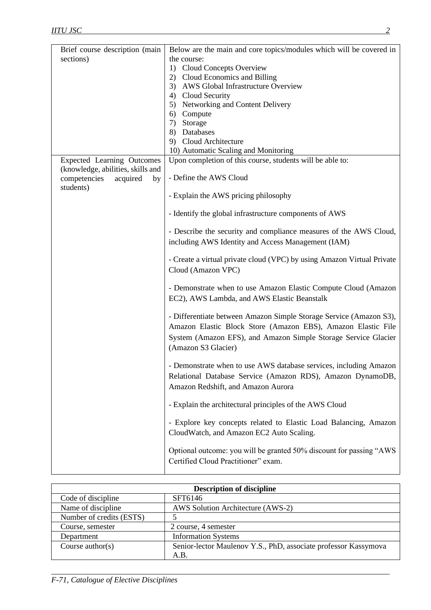| Brief course description (main                                         | Below are the main and core topics/modules which will be covered in                                                                                                                                                         |
|------------------------------------------------------------------------|-----------------------------------------------------------------------------------------------------------------------------------------------------------------------------------------------------------------------------|
| sections)                                                              | the course:                                                                                                                                                                                                                 |
|                                                                        | 1) Cloud Concepts Overview                                                                                                                                                                                                  |
|                                                                        | 2) Cloud Economics and Billing                                                                                                                                                                                              |
|                                                                        | 3) AWS Global Infrastructure Overview                                                                                                                                                                                       |
|                                                                        | 4) Cloud Security<br>5) Networking and Content Delivery                                                                                                                                                                     |
|                                                                        | 6)<br>Compute                                                                                                                                                                                                               |
|                                                                        | Storage<br>7)                                                                                                                                                                                                               |
|                                                                        | 8) Databases                                                                                                                                                                                                                |
|                                                                        | 9) Cloud Architecture                                                                                                                                                                                                       |
|                                                                        | 10) Automatic Scaling and Monitoring                                                                                                                                                                                        |
| <b>Expected Learning Outcomes</b><br>(knowledge, abilities, skills and | Upon completion of this course, students will be able to:                                                                                                                                                                   |
| competencies<br>acquired<br>by<br>students)                            | - Define the AWS Cloud                                                                                                                                                                                                      |
|                                                                        | - Explain the AWS pricing philosophy                                                                                                                                                                                        |
|                                                                        | - Identify the global infrastructure components of AWS                                                                                                                                                                      |
|                                                                        | - Describe the security and compliance measures of the AWS Cloud,<br>including AWS Identity and Access Management (IAM)                                                                                                     |
|                                                                        | - Create a virtual private cloud (VPC) by using Amazon Virtual Private<br>Cloud (Amazon VPC)                                                                                                                                |
|                                                                        | - Demonstrate when to use Amazon Elastic Compute Cloud (Amazon<br>EC2), AWS Lambda, and AWS Elastic Beanstalk                                                                                                               |
|                                                                        | - Differentiate between Amazon Simple Storage Service (Amazon S3),<br>Amazon Elastic Block Store (Amazon EBS), Amazon Elastic File<br>System (Amazon EFS), and Amazon Simple Storage Service Glacier<br>(Amazon S3 Glacier) |
|                                                                        | - Demonstrate when to use AWS database services, including Amazon<br>Relational Database Service (Amazon RDS), Amazon DynamoDB,<br>Amazon Redshift, and Amazon Aurora                                                       |
|                                                                        | - Explain the architectural principles of the AWS Cloud                                                                                                                                                                     |
|                                                                        | - Explore key concepts related to Elastic Load Balancing, Amazon<br>CloudWatch, and Amazon EC2 Auto Scaling.                                                                                                                |
|                                                                        | Optional outcome: you will be granted 50% discount for passing "AWS"<br>Certified Cloud Practitioner" exam.                                                                                                                 |

| <b>Description of discipline</b> |                                                                 |  |
|----------------------------------|-----------------------------------------------------------------|--|
| Code of discipline               | SFT6146                                                         |  |
| Name of discipline               | AWS Solution Architecture (AWS-2)                               |  |
| Number of credits (ESTS)         |                                                                 |  |
| Course, semester                 | 2 course, 4 semester                                            |  |
| Department                       | <b>Information Systems</b>                                      |  |
| Course $\text{author}(s)$        | Senior-lector Maulenov Y.S., PhD, associate professor Kassymova |  |
|                                  | A.B.                                                            |  |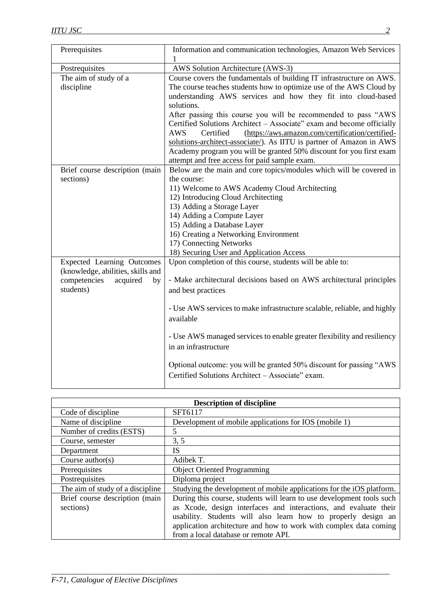| Prerequisites                                                                                                         | Information and communication technologies, Amazon Web Services<br>1                                                                                                                                                                                                                                                                                                                                                                                                                                                                                                                               |  |  |
|-----------------------------------------------------------------------------------------------------------------------|----------------------------------------------------------------------------------------------------------------------------------------------------------------------------------------------------------------------------------------------------------------------------------------------------------------------------------------------------------------------------------------------------------------------------------------------------------------------------------------------------------------------------------------------------------------------------------------------------|--|--|
| Postrequisites                                                                                                        | AWS Solution Architecture (AWS-3)                                                                                                                                                                                                                                                                                                                                                                                                                                                                                                                                                                  |  |  |
| The aim of study of a<br>discipline                                                                                   | Course covers the fundamentals of building IT infrastructure on AWS.<br>The course teaches students how to optimize use of the AWS Cloud by<br>understanding AWS services and how they fit into cloud-based<br>solutions.<br>After passing this course you will be recommended to pass "AWS<br>Certified Solutions Architect - Associate" exam and become officially<br>Certified<br>(https://aws.amazon.com/certification/certified-<br><b>AWS</b><br>solutions-architect-associate/). As IITU is partner of Amazon in AWS<br>Academy program you will be granted 50% discount for you first exam |  |  |
|                                                                                                                       | attempt and free access for paid sample exam.                                                                                                                                                                                                                                                                                                                                                                                                                                                                                                                                                      |  |  |
| Brief course description (main<br>sections)                                                                           | Below are the main and core topics/modules which will be covered in<br>the course:<br>11) Welcome to AWS Academy Cloud Architecting<br>12) Introducing Cloud Architecting<br>13) Adding a Storage Layer<br>14) Adding a Compute Layer<br>15) Adding a Database Layer<br>16) Creating a Networking Environment<br>17) Connecting Networks<br>18) Securing User and Application Access                                                                                                                                                                                                               |  |  |
| <b>Expected Learning Outcomes</b><br>(knowledge, abilities, skills and<br>competencies<br>acquired<br>by<br>students) | Upon completion of this course, students will be able to:<br>- Make architectural decisions based on AWS architectural principles<br>and best practices<br>- Use AWS services to make infrastructure scalable, reliable, and highly<br>available<br>- Use AWS managed services to enable greater flexibility and resiliency<br>in an infrastructure<br>Optional outcome: you will be granted 50% discount for passing "AWS"<br>Certified Solutions Architect - Associate" exam.                                                                                                                    |  |  |

| <b>Description of discipline</b> |                                                                       |  |
|----------------------------------|-----------------------------------------------------------------------|--|
| Code of discipline               | SFT6117                                                               |  |
| Name of discipline               | Development of mobile applications for IOS (mobile 1)                 |  |
| Number of credits (ESTS)         | 5                                                                     |  |
| Course, semester                 | 3, 5                                                                  |  |
| Department                       | <b>IS</b>                                                             |  |
| Course $\text{author}(s)$        | Adibek T.                                                             |  |
| Prerequisites                    | <b>Object Oriented Programming</b>                                    |  |
| Postrequisites                   | Diploma project                                                       |  |
| The aim of study of a discipline | Studying the development of mobile applications for the iOS platform. |  |
| Brief course description (main   | During this course, students will learn to use development tools such |  |
| sections)                        | as Xcode, design interfaces and interactions, and evaluate their      |  |
|                                  | usability. Students will also learn how to properly design an         |  |
|                                  | application architecture and how to work with complex data coming     |  |
|                                  | from a local database or remote API.                                  |  |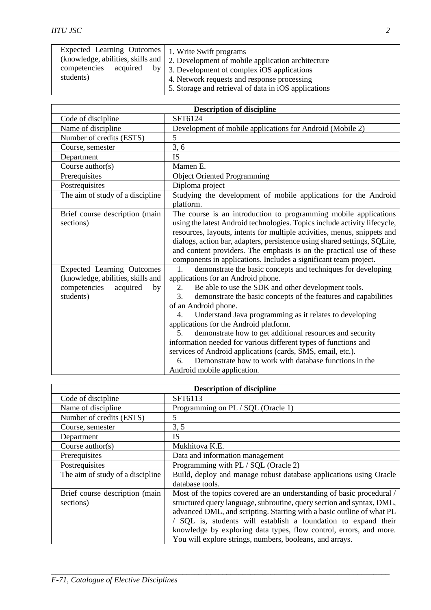| Expected Learning Outcomes   1. Write Swift programs<br>(knowledge, abilities, skills and |          | 2. Development of mobile application architecture                                                                                                            |
|-------------------------------------------------------------------------------------------|----------|--------------------------------------------------------------------------------------------------------------------------------------------------------------|
| competencies<br>students)                                                                 | acquired | by $\vert$ 3. Development of complex iOS applications<br>4. Network requests and response processing<br>5. Storage and retrieval of data in iOS applications |

| <b>Description of discipline</b>                                                                                      |                                                                                                                                                                                                                                                                                                                                                                                                                                                                                                                                                                                                                                                                                                            |  |  |
|-----------------------------------------------------------------------------------------------------------------------|------------------------------------------------------------------------------------------------------------------------------------------------------------------------------------------------------------------------------------------------------------------------------------------------------------------------------------------------------------------------------------------------------------------------------------------------------------------------------------------------------------------------------------------------------------------------------------------------------------------------------------------------------------------------------------------------------------|--|--|
| Code of discipline                                                                                                    | SFT6124                                                                                                                                                                                                                                                                                                                                                                                                                                                                                                                                                                                                                                                                                                    |  |  |
| Name of discipline                                                                                                    | Development of mobile applications for Android (Mobile 2)                                                                                                                                                                                                                                                                                                                                                                                                                                                                                                                                                                                                                                                  |  |  |
| Number of credits (ESTS)                                                                                              | 5                                                                                                                                                                                                                                                                                                                                                                                                                                                                                                                                                                                                                                                                                                          |  |  |
| Course, semester                                                                                                      | 3, 6                                                                                                                                                                                                                                                                                                                                                                                                                                                                                                                                                                                                                                                                                                       |  |  |
| Department                                                                                                            | <b>IS</b>                                                                                                                                                                                                                                                                                                                                                                                                                                                                                                                                                                                                                                                                                                  |  |  |
| Course author(s)                                                                                                      | Mamen E.                                                                                                                                                                                                                                                                                                                                                                                                                                                                                                                                                                                                                                                                                                   |  |  |
| Prerequisites                                                                                                         | <b>Object Oriented Programming</b>                                                                                                                                                                                                                                                                                                                                                                                                                                                                                                                                                                                                                                                                         |  |  |
| Postrequisites                                                                                                        | Diploma project                                                                                                                                                                                                                                                                                                                                                                                                                                                                                                                                                                                                                                                                                            |  |  |
| The aim of study of a discipline                                                                                      | Studying the development of mobile applications for the Android<br>platform.                                                                                                                                                                                                                                                                                                                                                                                                                                                                                                                                                                                                                               |  |  |
| Brief course description (main<br>sections)                                                                           | The course is an introduction to programming mobile applications<br>using the latest Android technologies. Topics include activity lifecycle,<br>resources, layouts, intents for multiple activities, menus, snippets and<br>dialogs, action bar, adapters, persistence using shared settings, SQLite,<br>and content providers. The emphasis is on the practical use of these<br>components in applications. Includes a significant team project.                                                                                                                                                                                                                                                         |  |  |
| <b>Expected Learning Outcomes</b><br>(knowledge, abilities, skills and<br>competencies<br>acquired<br>by<br>students) | demonstrate the basic concepts and techniques for developing<br>1.<br>applications for an Android phone.<br>Be able to use the SDK and other development tools.<br>2.<br>demonstrate the basic concepts of the features and capabilities<br>$\mathcal{F}$<br>of an Android phone.<br>Understand Java programming as it relates to developing<br>4.<br>applications for the Android platform.<br>demonstrate how to get additional resources and security<br>5 <sub>1</sub><br>information needed for various different types of functions and<br>services of Android applications (cards, SMS, email, etc.).<br>Demonstrate how to work with database functions in the<br>6<br>Android mobile application. |  |  |

| <b>Description of discipline</b> |                                                                       |  |
|----------------------------------|-----------------------------------------------------------------------|--|
| Code of discipline               | SFT6113                                                               |  |
| Name of discipline               | Programming on PL / SQL (Oracle 1)                                    |  |
| Number of credits (ESTS)         | 5                                                                     |  |
| Course, semester                 | 3, 5                                                                  |  |
| Department                       | <b>IS</b>                                                             |  |
| Course $\text{author}(s)$        | Mukhitova K.E.                                                        |  |
| Prerequisites                    | Data and information management                                       |  |
| Postrequisites                   | Programming with PL / SQL (Oracle 2)                                  |  |
| The aim of study of a discipline | Build, deploy and manage robust database applications using Oracle    |  |
|                                  | database tools.                                                       |  |
| Brief course description (main   | Most of the topics covered are an understanding of basic procedural / |  |
| sections)                        | structured query language, subroutine, query section and syntax, DML, |  |
|                                  | advanced DML, and scripting. Starting with a basic outline of what PL |  |
|                                  | / SQL is, students will establish a foundation to expand their        |  |
|                                  | knowledge by exploring data types, flow control, errors, and more.    |  |
|                                  | You will explore strings, numbers, booleans, and arrays.              |  |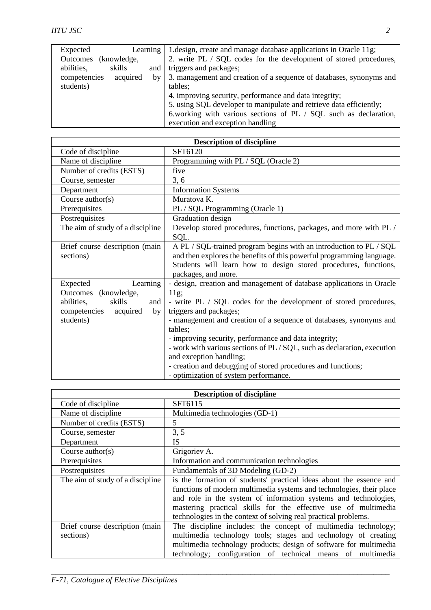| Expected                 | Learning | 1. design, create and manage database applications in Oracle 11g;   |
|--------------------------|----------|---------------------------------------------------------------------|
| Outcomes<br>(knowledge,  |          | 2. write PL / SQL codes for the development of stored procedures,   |
| skills<br>abilities,     | and      | triggers and packages;                                              |
| competencies<br>acquired | by       | 3. management and creation of a sequence of databases, synonyms and |
| students)                |          | tables;                                                             |
|                          |          | 4. improving security, performance and data integrity;              |
|                          |          | 5. using SQL developer to manipulate and retrieve data efficiently; |
|                          |          | 6.working with various sections of PL / SQL such as declaration,    |
|                          |          | execution and exception handling                                    |

| <b>Description of discipline</b>                                                                                        |                                                                                                                                                                                                                                                                                                                                                                                                                                                                                                                                      |  |
|-------------------------------------------------------------------------------------------------------------------------|--------------------------------------------------------------------------------------------------------------------------------------------------------------------------------------------------------------------------------------------------------------------------------------------------------------------------------------------------------------------------------------------------------------------------------------------------------------------------------------------------------------------------------------|--|
| Code of discipline                                                                                                      | SFT6120                                                                                                                                                                                                                                                                                                                                                                                                                                                                                                                              |  |
| Name of discipline                                                                                                      | Programming with PL / SQL (Oracle 2)                                                                                                                                                                                                                                                                                                                                                                                                                                                                                                 |  |
| Number of credits (ESTS)                                                                                                | five                                                                                                                                                                                                                                                                                                                                                                                                                                                                                                                                 |  |
| Course, semester                                                                                                        | 3, 6                                                                                                                                                                                                                                                                                                                                                                                                                                                                                                                                 |  |
| Department                                                                                                              | <b>Information Systems</b>                                                                                                                                                                                                                                                                                                                                                                                                                                                                                                           |  |
| Course $\text{author}(s)$                                                                                               | Muratova K.                                                                                                                                                                                                                                                                                                                                                                                                                                                                                                                          |  |
| Prerequisites                                                                                                           | PL / SQL Programming (Oracle 1)                                                                                                                                                                                                                                                                                                                                                                                                                                                                                                      |  |
| Postrequisites                                                                                                          | Graduation design                                                                                                                                                                                                                                                                                                                                                                                                                                                                                                                    |  |
| The aim of study of a discipline                                                                                        | Develop stored procedures, functions, packages, and more with PL /<br>SQL.                                                                                                                                                                                                                                                                                                                                                                                                                                                           |  |
| Brief course description (main<br>sections)                                                                             | A PL / SQL-trained program begins with an introduction to PL / SQL<br>and then explores the benefits of this powerful programming language.<br>Students will learn how to design stored procedures, functions,<br>packages, and more.                                                                                                                                                                                                                                                                                                |  |
| Learning<br>Expected<br>Outcomes (knowledge,<br>skills<br>abilities,<br>and<br>competencies acquired<br>by<br>students) | - design, creation and management of database applications in Oracle<br>11g;<br>- write PL / SQL codes for the development of stored procedures,<br>triggers and packages;<br>- management and creation of a sequence of databases, synonyms and<br>tables;<br>- improving security, performance and data integrity;<br>- work with various sections of PL / SQL, such as declaration, execution<br>and exception handling;<br>- creation and debugging of stored procedures and functions;<br>- optimization of system performance. |  |

| <b>Description of discipline</b> |                                                                      |  |
|----------------------------------|----------------------------------------------------------------------|--|
| Code of discipline               | SFT6115                                                              |  |
| Name of discipline               | Multimedia technologies (GD-1)                                       |  |
| Number of credits (ESTS)         | 5                                                                    |  |
| Course, semester                 | 3, 5                                                                 |  |
| Department                       | IS                                                                   |  |
| Course $\text{author}(s)$        | Grigoriev A.                                                         |  |
| Prerequisites                    | Information and communication technologies                           |  |
| Postrequisites                   | Fundamentals of 3D Modeling (GD-2)                                   |  |
| The aim of study of a discipline | is the formation of students' practical ideas about the essence and  |  |
|                                  | functions of modern multimedia systems and technologies, their place |  |
|                                  | and role in the system of information systems and technologies,      |  |
|                                  | mastering practical skills for the effective use of multimedia       |  |
|                                  | technologies in the context of solving real practical problems.      |  |
| Brief course description (main   | The discipline includes: the concept of multimedia technology;       |  |
| sections)                        | multimedia technology tools; stages and technology of creating       |  |
|                                  | multimedia technology products; design of software for multimedia    |  |
|                                  | technology; configuration of technical means of multimedia           |  |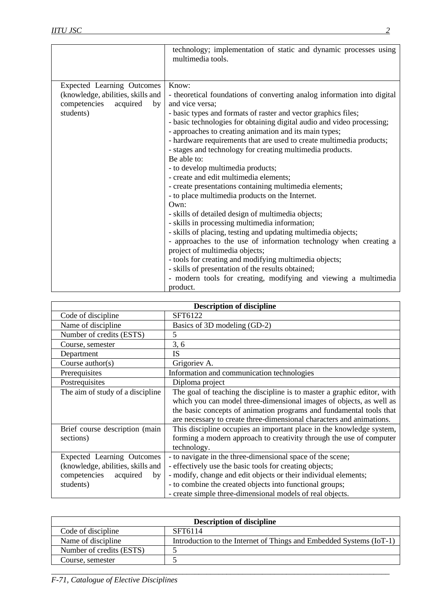|                                                                                                                | technology; implementation of static and dynamic processes using<br>multimedia tools.                                                                                                                                                                                                                                                                                                                                                                                                                                                                                                                                                                                                                                                                                                                                                                                                                                                                                                                                                                                                                                                              |
|----------------------------------------------------------------------------------------------------------------|----------------------------------------------------------------------------------------------------------------------------------------------------------------------------------------------------------------------------------------------------------------------------------------------------------------------------------------------------------------------------------------------------------------------------------------------------------------------------------------------------------------------------------------------------------------------------------------------------------------------------------------------------------------------------------------------------------------------------------------------------------------------------------------------------------------------------------------------------------------------------------------------------------------------------------------------------------------------------------------------------------------------------------------------------------------------------------------------------------------------------------------------------|
| Expected Learning Outcomes<br>(knowledge, abilities, skills and<br>acquired<br>competencies<br>by<br>students) | Know:<br>- theoretical foundations of converting analog information into digital<br>and vice versa;<br>- basic types and formats of raster and vector graphics files;<br>- basic technologies for obtaining digital audio and video processing;<br>- approaches to creating animation and its main types;<br>- hardware requirements that are used to create multimedia products;<br>- stages and technology for creating multimedia products.<br>Be able to:<br>- to develop multimedia products;<br>- create and edit multimedia elements;<br>- create presentations containing multimedia elements;<br>- to place multimedia products on the Internet.<br>$Qw$ n:<br>- skills of detailed design of multimedia objects;<br>- skills in processing multimedia information;<br>- skills of placing, testing and updating multimedia objects;<br>- approaches to the use of information technology when creating a<br>project of multimedia objects;<br>- tools for creating and modifying multimedia objects;<br>- skills of presentation of the results obtained;<br>- modern tools for creating, modifying and viewing a multimedia<br>product. |

| <b>Description of discipline</b>  |                                                                                                                                             |
|-----------------------------------|---------------------------------------------------------------------------------------------------------------------------------------------|
| Code of discipline                | SFT6122                                                                                                                                     |
| Name of discipline                | Basics of 3D modeling (GD-2)                                                                                                                |
| Number of credits (ESTS)          | 5                                                                                                                                           |
| Course, semester                  | 3, 6                                                                                                                                        |
| Department                        | <b>IS</b>                                                                                                                                   |
| Course $\text{author}(s)$         | Grigoriev A.                                                                                                                                |
| Prerequisites                     | Information and communication technologies                                                                                                  |
| Postrequisites                    | Diploma project                                                                                                                             |
| The aim of study of a discipline  | The goal of teaching the discipline is to master a graphic editor, with                                                                     |
|                                   | which you can model three-dimensional images of objects, as well as                                                                         |
|                                   | the basic concepts of animation programs and fundamental tools that<br>are necessary to create three-dimensional characters and animations. |
| Brief course description (main    | This discipline occupies an important place in the knowledge system,                                                                        |
| sections)                         | forming a modern approach to creativity through the use of computer                                                                         |
|                                   | technology.                                                                                                                                 |
| <b>Expected Learning Outcomes</b> | - to navigate in the three-dimensional space of the scene;                                                                                  |
| (knowledge, abilities, skills and | - effectively use the basic tools for creating objects;                                                                                     |
| competencies<br>acquired<br>by    | - modify, change and edit objects or their individual elements;                                                                             |
| students)                         | - to combine the created objects into functional groups;                                                                                    |
|                                   | - create simple three-dimensional models of real objects.                                                                                   |

| <b>Description of discipline</b> |                                                                     |
|----------------------------------|---------------------------------------------------------------------|
| Code of discipline               | SFT6114                                                             |
| Name of discipline.              | Introduction to the Internet of Things and Embedded Systems (IoT-1) |
| Number of credits (ESTS)         |                                                                     |
| Course, semester                 |                                                                     |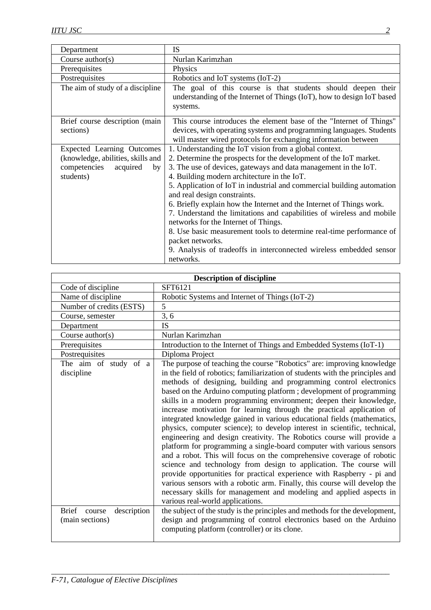| Department                                                                                                            | <b>IS</b>                                                                                                                                                                                                                                                                                                                                                                                                                                                                                                                                                                                                                                                                                                                        |
|-----------------------------------------------------------------------------------------------------------------------|----------------------------------------------------------------------------------------------------------------------------------------------------------------------------------------------------------------------------------------------------------------------------------------------------------------------------------------------------------------------------------------------------------------------------------------------------------------------------------------------------------------------------------------------------------------------------------------------------------------------------------------------------------------------------------------------------------------------------------|
| Course $\text{author}(s)$                                                                                             | Nurlan Karimzhan                                                                                                                                                                                                                                                                                                                                                                                                                                                                                                                                                                                                                                                                                                                 |
| Prerequisites                                                                                                         | Physics                                                                                                                                                                                                                                                                                                                                                                                                                                                                                                                                                                                                                                                                                                                          |
| Postrequisites                                                                                                        | Robotics and IoT systems (IoT-2)                                                                                                                                                                                                                                                                                                                                                                                                                                                                                                                                                                                                                                                                                                 |
| The aim of study of a discipline                                                                                      | The goal of this course is that students should deepen their<br>understanding of the Internet of Things (IoT), how to design IoT based<br>systems.                                                                                                                                                                                                                                                                                                                                                                                                                                                                                                                                                                               |
| Brief course description (main<br>sections)                                                                           | This course introduces the element base of the "Internet of Things"<br>devices, with operating systems and programming languages. Students<br>will master wired protocols for exchanging information between                                                                                                                                                                                                                                                                                                                                                                                                                                                                                                                     |
| <b>Expected Learning Outcomes</b><br>(knowledge, abilities, skills and<br>competencies<br>acquired<br>by<br>students) | 1. Understanding the IoT vision from a global context.<br>2. Determine the prospects for the development of the IoT market.<br>3. The use of devices, gateways and data management in the IoT.<br>4. Building modern architecture in the IoT.<br>5. Application of IoT in industrial and commercial building automation<br>and real design constraints.<br>6. Briefly explain how the Internet and the Internet of Things work.<br>7. Understand the limitations and capabilities of wireless and mobile<br>networks for the Internet of Things.<br>8. Use basic measurement tools to determine real-time performance of<br>packet networks.<br>9. Analysis of tradeoffs in interconnected wireless embedded sensor<br>networks. |

| <b>Description of discipline</b>                              |                                                                                                                                                                                                                                                                                                                                                                                                                                                                                                                                                                                                                                                                                                                                                                                                                                                                                                                                                                                                                                                                                                                                                                                 |
|---------------------------------------------------------------|---------------------------------------------------------------------------------------------------------------------------------------------------------------------------------------------------------------------------------------------------------------------------------------------------------------------------------------------------------------------------------------------------------------------------------------------------------------------------------------------------------------------------------------------------------------------------------------------------------------------------------------------------------------------------------------------------------------------------------------------------------------------------------------------------------------------------------------------------------------------------------------------------------------------------------------------------------------------------------------------------------------------------------------------------------------------------------------------------------------------------------------------------------------------------------|
| Code of discipline                                            | SFT6121                                                                                                                                                                                                                                                                                                                                                                                                                                                                                                                                                                                                                                                                                                                                                                                                                                                                                                                                                                                                                                                                                                                                                                         |
| Name of discipline                                            | Robotic Systems and Internet of Things (IoT-2)                                                                                                                                                                                                                                                                                                                                                                                                                                                                                                                                                                                                                                                                                                                                                                                                                                                                                                                                                                                                                                                                                                                                  |
| Number of credits (ESTS)                                      | 5                                                                                                                                                                                                                                                                                                                                                                                                                                                                                                                                                                                                                                                                                                                                                                                                                                                                                                                                                                                                                                                                                                                                                                               |
| Course, semester                                              | 3, 6                                                                                                                                                                                                                                                                                                                                                                                                                                                                                                                                                                                                                                                                                                                                                                                                                                                                                                                                                                                                                                                                                                                                                                            |
| Department                                                    | <b>IS</b>                                                                                                                                                                                                                                                                                                                                                                                                                                                                                                                                                                                                                                                                                                                                                                                                                                                                                                                                                                                                                                                                                                                                                                       |
| Course $\text{author}(s)$                                     | Nurlan Karimzhan                                                                                                                                                                                                                                                                                                                                                                                                                                                                                                                                                                                                                                                                                                                                                                                                                                                                                                                                                                                                                                                                                                                                                                |
| Prerequisites                                                 | Introduction to the Internet of Things and Embedded Systems (IoT-1)                                                                                                                                                                                                                                                                                                                                                                                                                                                                                                                                                                                                                                                                                                                                                                                                                                                                                                                                                                                                                                                                                                             |
| Postrequisites                                                | Diploma Project                                                                                                                                                                                                                                                                                                                                                                                                                                                                                                                                                                                                                                                                                                                                                                                                                                                                                                                                                                                                                                                                                                                                                                 |
| The aim of study of a<br>discipline<br><b>Brief</b><br>course | The purpose of teaching the course "Robotics" are: improving knowledge<br>in the field of robotics; familiarization of students with the principles and<br>methods of designing, building and programming control electronics<br>based on the Arduino computing platform; development of programming<br>skills in a modern programming environment; deepen their knowledge,<br>increase motivation for learning through the practical application of<br>integrated knowledge gained in various educational fields (mathematics,<br>physics, computer science); to develop interest in scientific, technical,<br>engineering and design creativity. The Robotics course will provide a<br>platform for programming a single-board computer with various sensors<br>and a robot. This will focus on the comprehensive coverage of robotic<br>science and technology from design to application. The course will<br>provide opportunities for practical experience with Raspberry - pi and<br>various sensors with a robotic arm. Finally, this course will develop the<br>necessary skills for management and modeling and applied aspects in<br>various real-world applications. |
| description<br>(main sections)                                | the subject of the study is the principles and methods for the development,<br>design and programming of control electronics based on the Arduino<br>computing platform (controller) or its clone.                                                                                                                                                                                                                                                                                                                                                                                                                                                                                                                                                                                                                                                                                                                                                                                                                                                                                                                                                                              |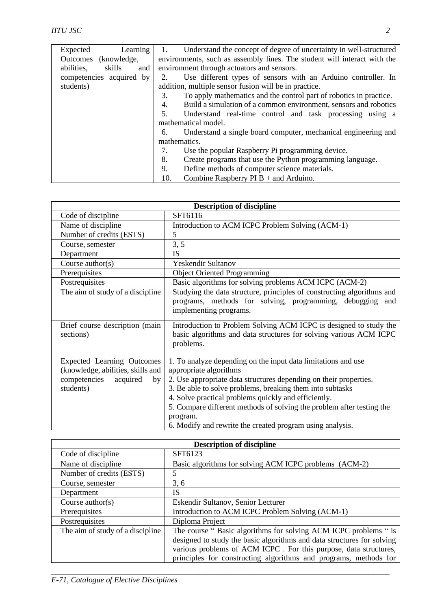| Learning<br>Expected        | Understand the concept of degree of uncertainty in well-structured       |
|-----------------------------|--------------------------------------------------------------------------|
| Outcomes<br>(knowledge,     | environments, such as assembly lines. The student will interact with the |
| abilities,<br>skills<br>and | environment through actuators and sensors.                               |
| competencies acquired by    | Use different types of sensors with an Arduino controller. In<br>2.      |
| students)                   | addition, multiple sensor fusion will be in practice.                    |
|                             | To apply mathematics and the control part of robotics in practice.<br>3. |
|                             | Build a simulation of a common environment, sensors and robotics<br>4.   |
|                             | 5.<br>Understand real-time control and task processing using a           |
|                             | mathematical model.                                                      |
|                             | Understand a single board computer, mechanical engineering and<br>6.     |
|                             | mathematics.                                                             |
|                             | 7.<br>Use the popular Raspberry Pi programming device.                   |
|                             | Create programs that use the Python programming language.<br>8.          |
|                             | Define methods of computer science materials.<br>9.                      |
|                             | Combine Raspberry $PIB +$ and Arduino.<br>10.                            |

| <b>Description of discipline</b>                                                                                      |                                                                                                                                                                                                                                                                                                                                                                                                                                     |
|-----------------------------------------------------------------------------------------------------------------------|-------------------------------------------------------------------------------------------------------------------------------------------------------------------------------------------------------------------------------------------------------------------------------------------------------------------------------------------------------------------------------------------------------------------------------------|
| Code of discipline                                                                                                    | SFT6116                                                                                                                                                                                                                                                                                                                                                                                                                             |
| Name of discipline                                                                                                    | Introduction to ACM ICPC Problem Solving (ACM-1)                                                                                                                                                                                                                                                                                                                                                                                    |
| Number of credits (ESTS)                                                                                              | 5                                                                                                                                                                                                                                                                                                                                                                                                                                   |
| Course, semester                                                                                                      | 3, 5                                                                                                                                                                                                                                                                                                                                                                                                                                |
| Department                                                                                                            | IS                                                                                                                                                                                                                                                                                                                                                                                                                                  |
| Course $\text{author}(s)$                                                                                             | <b>Yeskendir Sultanov</b>                                                                                                                                                                                                                                                                                                                                                                                                           |
| Prerequisites                                                                                                         | <b>Object Oriented Programming</b>                                                                                                                                                                                                                                                                                                                                                                                                  |
| Postrequisites                                                                                                        | Basic algorithms for solving problems ACM ICPC (ACM-2)                                                                                                                                                                                                                                                                                                                                                                              |
| The aim of study of a discipline                                                                                      | Studying the data structure, principles of constructing algorithms and<br>programs, methods for solving, programming, debugging<br>and<br>implementing programs.                                                                                                                                                                                                                                                                    |
| Brief course description (main<br>sections)                                                                           | Introduction to Problem Solving ACM ICPC is designed to study the<br>basic algorithms and data structures for solving various ACM ICPC<br>problems.                                                                                                                                                                                                                                                                                 |
| <b>Expected Learning Outcomes</b><br>(knowledge, abilities, skills and<br>competencies<br>acquired<br>by<br>students) | 1. To analyze depending on the input data limitations and use<br>appropriate algorithms<br>2. Use appropriate data structures depending on their properties.<br>3. Be able to solve problems, breaking them into subtasks<br>4. Solve practical problems quickly and efficiently.<br>5. Compare different methods of solving the problem after testing the<br>program.<br>6. Modify and rewrite the created program using analysis. |

| <b>Description of discipline</b> |                                                                        |
|----------------------------------|------------------------------------------------------------------------|
| Code of discipline               | SFT6123                                                                |
| Name of discipline               | Basic algorithms for solving ACM ICPC problems (ACM-2)                 |
| Number of credits (ESTS)         | 5                                                                      |
| Course, semester                 | 3, 6                                                                   |
| Department                       | <b>IS</b>                                                              |
| Course $\text{author}(s)$        | Eskendir Sultanov, Senior Lecturer                                     |
| Prerequisites                    | Introduction to ACM ICPC Problem Solving (ACM-1)                       |
| Postrequisites                   | Diploma Project                                                        |
| The aim of study of a discipline | The course "Basic algorithms for solving ACM ICPC problems " is        |
|                                  | designed to study the basic algorithms and data structures for solving |
|                                  | various problems of ACM ICPC. For this purpose, data structures,       |
|                                  | principles for constructing algorithms and programs, methods for       |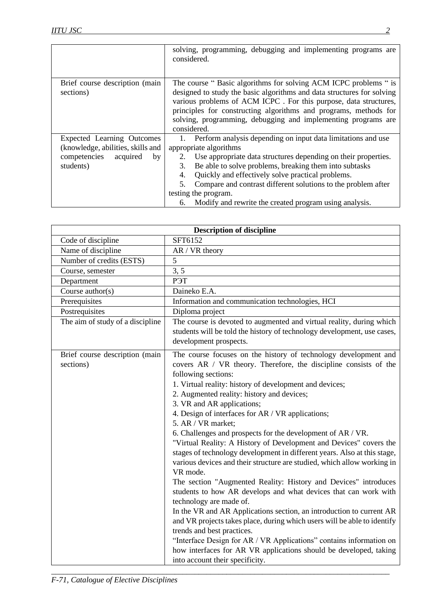|                                   | solving, programming, debugging and implementing programs are<br>considered. |
|-----------------------------------|------------------------------------------------------------------------------|
|                                   |                                                                              |
| Brief course description (main    | The course "Basic algorithms for solving ACM ICPC problems " is              |
| sections)                         | designed to study the basic algorithms and data structures for solving       |
|                                   | various problems of ACM ICPC. For this purpose, data structures,             |
|                                   | principles for constructing algorithms and programs, methods for             |
|                                   | solving, programming, debugging and implementing programs are                |
|                                   | considered.                                                                  |
| Expected Learning Outcomes        | Perform analysis depending on input data limitations and use                 |
| (knowledge, abilities, skills and | appropriate algorithms                                                       |
| competencies<br>acquired<br>by    | Use appropriate data structures depending on their properties.               |
| students)                         | Be able to solve problems, breaking them into subtasks<br>3.                 |
|                                   | Quickly and effectively solve practical problems.<br>4.                      |
|                                   | Compare and contrast different solutions to the problem after<br>5.          |
|                                   | testing the program.                                                         |
|                                   | Modify and rewrite the created program using analysis.<br>6.                 |

| <b>Description of discipline</b>            |                                                                                                                                                                                                                                                                                                                                                                                                                                                                                                                                                                                                                                                                                                                                                                                                                                                                                                                                                                                                                                                                                                                                                                                                                        |
|---------------------------------------------|------------------------------------------------------------------------------------------------------------------------------------------------------------------------------------------------------------------------------------------------------------------------------------------------------------------------------------------------------------------------------------------------------------------------------------------------------------------------------------------------------------------------------------------------------------------------------------------------------------------------------------------------------------------------------------------------------------------------------------------------------------------------------------------------------------------------------------------------------------------------------------------------------------------------------------------------------------------------------------------------------------------------------------------------------------------------------------------------------------------------------------------------------------------------------------------------------------------------|
| Code of discipline                          | SFT6152                                                                                                                                                                                                                                                                                                                                                                                                                                                                                                                                                                                                                                                                                                                                                                                                                                                                                                                                                                                                                                                                                                                                                                                                                |
| Name of discipline                          | AR / VR theory                                                                                                                                                                                                                                                                                                                                                                                                                                                                                                                                                                                                                                                                                                                                                                                                                                                                                                                                                                                                                                                                                                                                                                                                         |
| Number of credits (ESTS)                    | 5                                                                                                                                                                                                                                                                                                                                                                                                                                                                                                                                                                                                                                                                                                                                                                                                                                                                                                                                                                                                                                                                                                                                                                                                                      |
| Course, semester                            | 3, 5                                                                                                                                                                                                                                                                                                                                                                                                                                                                                                                                                                                                                                                                                                                                                                                                                                                                                                                                                                                                                                                                                                                                                                                                                   |
| Department                                  | P <sub>H</sub>                                                                                                                                                                                                                                                                                                                                                                                                                                                                                                                                                                                                                                                                                                                                                                                                                                                                                                                                                                                                                                                                                                                                                                                                         |
| Course author(s)                            | Daineko E.A.                                                                                                                                                                                                                                                                                                                                                                                                                                                                                                                                                                                                                                                                                                                                                                                                                                                                                                                                                                                                                                                                                                                                                                                                           |
| Prerequisites                               | Information and communication technologies, HCI                                                                                                                                                                                                                                                                                                                                                                                                                                                                                                                                                                                                                                                                                                                                                                                                                                                                                                                                                                                                                                                                                                                                                                        |
| Postrequisites                              | Diploma project                                                                                                                                                                                                                                                                                                                                                                                                                                                                                                                                                                                                                                                                                                                                                                                                                                                                                                                                                                                                                                                                                                                                                                                                        |
| The aim of study of a discipline            | The course is devoted to augmented and virtual reality, during which<br>students will be told the history of technology development, use cases,<br>development prospects.                                                                                                                                                                                                                                                                                                                                                                                                                                                                                                                                                                                                                                                                                                                                                                                                                                                                                                                                                                                                                                              |
| Brief course description (main<br>sections) | The course focuses on the history of technology development and<br>covers AR / VR theory. Therefore, the discipline consists of the<br>following sections:<br>1. Virtual reality: history of development and devices;<br>2. Augmented reality: history and devices;<br>3. VR and AR applications;<br>4. Design of interfaces for AR / VR applications;<br>5. AR / VR market;<br>6. Challenges and prospects for the development of AR / VR.<br>"Virtual Reality: A History of Development and Devices" covers the<br>stages of technology development in different years. Also at this stage,<br>various devices and their structure are studied, which allow working in<br>VR mode.<br>The section "Augmented Reality: History and Devices" introduces<br>students to how AR develops and what devices that can work with<br>technology are made of.<br>In the VR and AR Applications section, an introduction to current AR<br>and VR projects takes place, during which users will be able to identify<br>trends and best practices.<br>"Interface Design for AR / VR Applications" contains information on<br>how interfaces for AR VR applications should be developed, taking<br>into account their specificity. |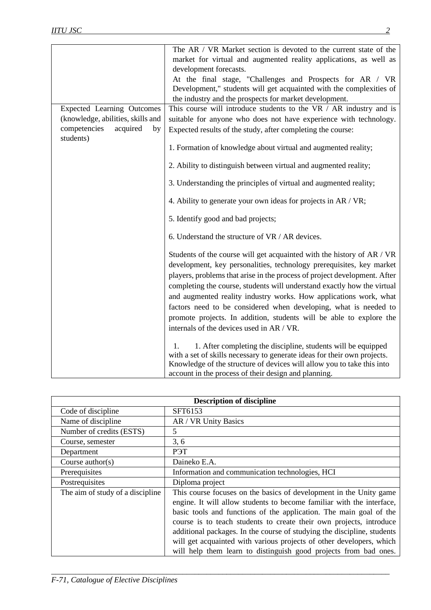|                                             | The AR / VR Market section is devoted to the current state of the                                                                                                                                                                                                                                                                                                                                                                                                                                                                                                   |
|---------------------------------------------|---------------------------------------------------------------------------------------------------------------------------------------------------------------------------------------------------------------------------------------------------------------------------------------------------------------------------------------------------------------------------------------------------------------------------------------------------------------------------------------------------------------------------------------------------------------------|
|                                             | market for virtual and augmented reality applications, as well as                                                                                                                                                                                                                                                                                                                                                                                                                                                                                                   |
|                                             | development forecasts.                                                                                                                                                                                                                                                                                                                                                                                                                                                                                                                                              |
|                                             | At the final stage, "Challenges and Prospects for AR / VR                                                                                                                                                                                                                                                                                                                                                                                                                                                                                                           |
|                                             | Development," students will get acquainted with the complexities of                                                                                                                                                                                                                                                                                                                                                                                                                                                                                                 |
|                                             | the industry and the prospects for market development.                                                                                                                                                                                                                                                                                                                                                                                                                                                                                                              |
| <b>Expected Learning Outcomes</b>           | This course will introduce students to the VR / AR industry and is                                                                                                                                                                                                                                                                                                                                                                                                                                                                                                  |
| (knowledge, abilities, skills and           | suitable for anyone who does not have experience with technology.                                                                                                                                                                                                                                                                                                                                                                                                                                                                                                   |
| competencies<br>acquired<br>by<br>students) | Expected results of the study, after completing the course:                                                                                                                                                                                                                                                                                                                                                                                                                                                                                                         |
|                                             | 1. Formation of knowledge about virtual and augmented reality;                                                                                                                                                                                                                                                                                                                                                                                                                                                                                                      |
|                                             | 2. Ability to distinguish between virtual and augmented reality;                                                                                                                                                                                                                                                                                                                                                                                                                                                                                                    |
|                                             | 3. Understanding the principles of virtual and augmented reality;                                                                                                                                                                                                                                                                                                                                                                                                                                                                                                   |
|                                             | 4. Ability to generate your own ideas for projects in AR / VR;                                                                                                                                                                                                                                                                                                                                                                                                                                                                                                      |
|                                             | 5. Identify good and bad projects;                                                                                                                                                                                                                                                                                                                                                                                                                                                                                                                                  |
|                                             | 6. Understand the structure of VR / AR devices.                                                                                                                                                                                                                                                                                                                                                                                                                                                                                                                     |
|                                             | Students of the course will get acquainted with the history of AR / VR<br>development, key personalities, technology prerequisites, key market<br>players, problems that arise in the process of project development. After<br>completing the course, students will understand exactly how the virtual<br>and augmented reality industry works. How applications work, what<br>factors need to be considered when developing, what is needed to<br>promote projects. In addition, students will be able to explore the<br>internals of the devices used in AR / VR. |
|                                             | 1. After completing the discipline, students will be equipped<br>1.<br>with a set of skills necessary to generate ideas for their own projects.<br>Knowledge of the structure of devices will allow you to take this into<br>account in the process of their design and planning.                                                                                                                                                                                                                                                                                   |

| <b>Description of discipline</b> |                                                                                                                                                                                                                                                                                                                                                                                                                                                                                                                 |
|----------------------------------|-----------------------------------------------------------------------------------------------------------------------------------------------------------------------------------------------------------------------------------------------------------------------------------------------------------------------------------------------------------------------------------------------------------------------------------------------------------------------------------------------------------------|
| Code of discipline               | SFT6153                                                                                                                                                                                                                                                                                                                                                                                                                                                                                                         |
| Name of discipline               | AR / VR Unity Basics                                                                                                                                                                                                                                                                                                                                                                                                                                                                                            |
| Number of credits (ESTS)         | 5                                                                                                                                                                                                                                                                                                                                                                                                                                                                                                               |
| Course, semester                 | 3, 6                                                                                                                                                                                                                                                                                                                                                                                                                                                                                                            |
| Department                       | P <sub>H</sub>                                                                                                                                                                                                                                                                                                                                                                                                                                                                                                  |
| Course $\text{author}(s)$        | Daineko E.A.                                                                                                                                                                                                                                                                                                                                                                                                                                                                                                    |
| Prerequisites                    | Information and communication technologies, HCI                                                                                                                                                                                                                                                                                                                                                                                                                                                                 |
| Postrequisites                   | Diploma project                                                                                                                                                                                                                                                                                                                                                                                                                                                                                                 |
| The aim of study of a discipline | This course focuses on the basics of development in the Unity game<br>engine. It will allow students to become familiar with the interface,<br>basic tools and functions of the application. The main goal of the<br>course is to teach students to create their own projects, introduce<br>additional packages. In the course of studying the discipline, students<br>will get acquainted with various projects of other developers, which<br>will help them learn to distinguish good projects from bad ones. |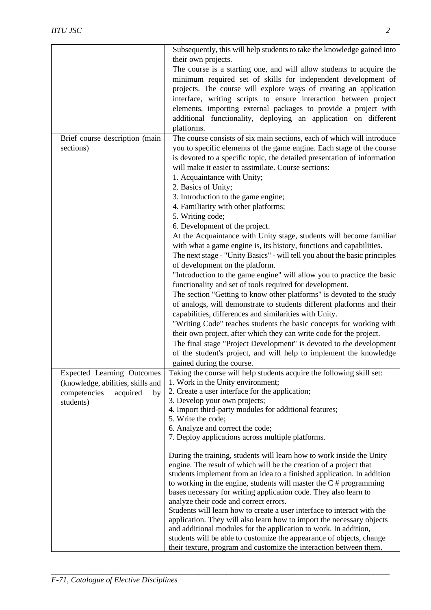|                                   | Subsequently, this will help students to take the knowledge gained into    |
|-----------------------------------|----------------------------------------------------------------------------|
|                                   | their own projects.                                                        |
|                                   | The course is a starting one, and will allow students to acquire the       |
|                                   | minimum required set of skills for independent development of              |
|                                   | projects. The course will explore ways of creating an application          |
|                                   | interface, writing scripts to ensure interaction between project           |
|                                   | elements, importing external packages to provide a project with            |
|                                   | additional functionality, deploying an application on different            |
|                                   | platforms.                                                                 |
| Brief course description (main    | The course consists of six main sections, each of which will introduce     |
| sections)                         | you to specific elements of the game engine. Each stage of the course      |
|                                   | is devoted to a specific topic, the detailed presentation of information   |
|                                   | will make it easier to assimilate. Course sections:                        |
|                                   |                                                                            |
|                                   | 1. Acquaintance with Unity;                                                |
|                                   | 2. Basics of Unity;                                                        |
|                                   | 3. Introduction to the game engine;                                        |
|                                   | 4. Familiarity with other platforms;                                       |
|                                   | 5. Writing code;                                                           |
|                                   | 6. Development of the project.                                             |
|                                   | At the Acquaintance with Unity stage, students will become familiar        |
|                                   | with what a game engine is, its history, functions and capabilities.       |
|                                   | The next stage - "Unity Basics" - will tell you about the basic principles |
|                                   | of development on the platform.                                            |
|                                   | "Introduction to the game engine" will allow you to practice the basic     |
|                                   | functionality and set of tools required for development.                   |
|                                   | The section "Getting to know other platforms" is devoted to the study      |
|                                   | of analogs, will demonstrate to students different platforms and their     |
|                                   | capabilities, differences and similarities with Unity.                     |
|                                   | "Writing Code" teaches students the basic concepts for working with        |
|                                   | their own project, after which they can write code for the project.        |
|                                   | The final stage "Project Development" is devoted to the development        |
|                                   | of the student's project, and will help to implement the knowledge         |
|                                   | gained during the course.                                                  |
| <b>Expected Learning Outcomes</b> | Taking the course will help students acquire the following skill set:      |
| (knowledge, abilities, skills and | 1. Work in the Unity environment;                                          |
| acquired                          | 2. Create a user interface for the application;                            |
| competencies<br>by                | 3. Develop your own projects;                                              |
| students)                         | 4. Import third-party modules for additional features;                     |
|                                   | 5. Write the code;                                                         |
|                                   | 6. Analyze and correct the code;                                           |
|                                   | 7. Deploy applications across multiple platforms.                          |
|                                   |                                                                            |
|                                   | During the training, students will learn how to work inside the Unity      |
|                                   | engine. The result of which will be the creation of a project that         |
|                                   | students implement from an idea to a finished application. In addition     |
|                                   | to working in the engine, students will master the $C \# programming$      |
|                                   | bases necessary for writing application code. They also learn to           |
|                                   | analyze their code and correct errors.                                     |
|                                   | Students will learn how to create a user interface to interact with the    |
|                                   | application. They will also learn how to import the necessary objects      |
|                                   | and additional modules for the application to work. In addition,           |
|                                   | students will be able to customize the appearance of objects, change       |
|                                   | their texture, program and customize the interaction between them.         |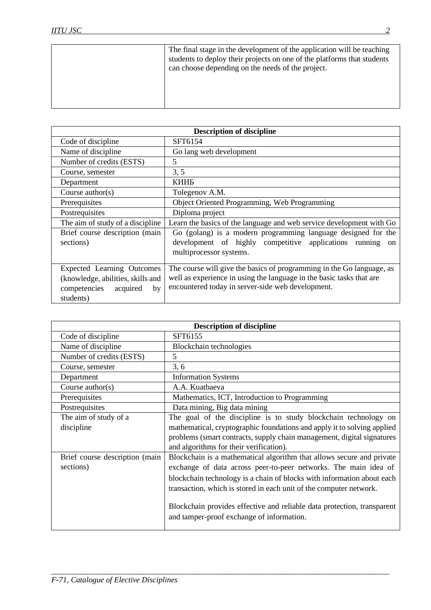| The final stage in the development of the application will be teaching<br>students to deploy their projects on one of the platforms that students<br>can choose depending on the needs of the project. |
|--------------------------------------------------------------------------------------------------------------------------------------------------------------------------------------------------------|
|                                                                                                                                                                                                        |

| <b>Description of discipline</b>                                                                                      |                                                                                                                                                                                                    |
|-----------------------------------------------------------------------------------------------------------------------|----------------------------------------------------------------------------------------------------------------------------------------------------------------------------------------------------|
| Code of discipline                                                                                                    | SFT6154                                                                                                                                                                                            |
| Name of discipline                                                                                                    | Go lang web development                                                                                                                                                                            |
| Number of credits (ESTS)                                                                                              | 5                                                                                                                                                                                                  |
| Course, semester                                                                                                      | 3, 5                                                                                                                                                                                               |
| Department                                                                                                            | КИИБ                                                                                                                                                                                               |
| Course $\text{author}(s)$                                                                                             | Tolegenov A.M.                                                                                                                                                                                     |
| Prerequisites                                                                                                         | Object Oriented Programming, Web Programming                                                                                                                                                       |
| Postrequisites                                                                                                        | Diploma project                                                                                                                                                                                    |
| The aim of study of a discipline                                                                                      | Learn the basics of the language and web service development with Go                                                                                                                               |
| Brief course description (main                                                                                        | Go (golang) is a modern programming language designed for the                                                                                                                                      |
| sections)                                                                                                             | development of highly competitive applications running on<br>multiprocessor systems.                                                                                                               |
| <b>Expected Learning Outcomes</b><br>(knowledge, abilities, skills and<br>competencies<br>acquired<br>by<br>students) | The course will give the basics of programming in the Go language, as<br>well as experience in using the language in the basic tasks that are<br>encountered today in server-side web development. |

| <b>Description of discipline</b> |                                                                                                                      |
|----------------------------------|----------------------------------------------------------------------------------------------------------------------|
| Code of discipline               | SFT6155                                                                                                              |
| Name of discipline               | Blockchain technologies                                                                                              |
| Number of credits (ESTS)         | 5                                                                                                                    |
| Course, semester                 | 3, 6                                                                                                                 |
| Department                       | <b>Information Systems</b>                                                                                           |
| Course $\text{author}(s)$        | A.A. Kuatbaeva                                                                                                       |
| Prerequisites                    | Mathematics, ICT, Introduction to Programming                                                                        |
| Postrequisites                   | Data mining, Big data mining                                                                                         |
| The aim of study of a            | The goal of the discipline is to study blockchain technology on                                                      |
| discipline                       | mathematical, cryptographic foundations and apply it to solving applied                                              |
|                                  | problems (smart contracts, supply chain management, digital signatures                                               |
|                                  | and algorithms for their verification).                                                                              |
| Brief course description (main   | Blockchain is a mathematical algorithm that allows secure and private                                                |
| sections)                        | exchange of data across peer-to-peer networks. The main idea of                                                      |
|                                  | blockchain technology is a chain of blocks with information about each                                               |
|                                  | transaction, which is stored in each unit of the computer network.                                                   |
|                                  | Blockchain provides effective and reliable data protection, transparent<br>and tamper-proof exchange of information. |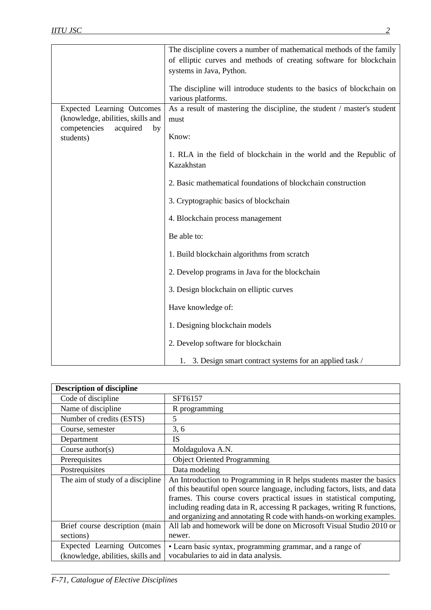|                                   | The discipline covers a number of mathematical methods of the family    |
|-----------------------------------|-------------------------------------------------------------------------|
|                                   | of elliptic curves and methods of creating software for blockchain      |
|                                   | systems in Java, Python.                                                |
|                                   | The discipline will introduce students to the basics of blockchain on   |
|                                   | various platforms.                                                      |
| <b>Expected Learning Outcomes</b> | As a result of mastering the discipline, the student / master's student |
| (knowledge, abilities, skills and |                                                                         |
| competencies<br>acquired<br>by    | must                                                                    |
| students)                         | Know:                                                                   |
|                                   |                                                                         |
|                                   | 1. RLA in the field of blockchain in the world and the Republic of      |
|                                   | Kazakhstan                                                              |
|                                   |                                                                         |
|                                   | 2. Basic mathematical foundations of blockchain construction            |
|                                   | 3. Cryptographic basics of blockchain                                   |
|                                   |                                                                         |
|                                   | 4. Blockchain process management                                        |
|                                   |                                                                         |
|                                   | Be able to:                                                             |
|                                   |                                                                         |
|                                   | 1. Build blockchain algorithms from scratch                             |
|                                   | 2. Develop programs in Java for the blockchain                          |
|                                   |                                                                         |
|                                   | 3. Design blockchain on elliptic curves                                 |
|                                   |                                                                         |
|                                   | Have knowledge of:                                                      |
|                                   | 1. Designing blockchain models                                          |
|                                   |                                                                         |
|                                   | 2. Develop software for blockchain                                      |
|                                   |                                                                         |
|                                   | 1. 3. Design smart contract systems for an applied task /               |

| <b>Description of discipline</b>                                |                                                                                                                                                                                                                                                                                                                                                                                |
|-----------------------------------------------------------------|--------------------------------------------------------------------------------------------------------------------------------------------------------------------------------------------------------------------------------------------------------------------------------------------------------------------------------------------------------------------------------|
| Code of discipline                                              | SFT6157                                                                                                                                                                                                                                                                                                                                                                        |
| Name of discipline                                              | R programming                                                                                                                                                                                                                                                                                                                                                                  |
| Number of credits (ESTS)                                        | 5                                                                                                                                                                                                                                                                                                                                                                              |
| Course, semester                                                | 3, 6                                                                                                                                                                                                                                                                                                                                                                           |
| Department                                                      | <b>IS</b>                                                                                                                                                                                                                                                                                                                                                                      |
| Course $\text{author}(s)$                                       | Moldagulova A.N.                                                                                                                                                                                                                                                                                                                                                               |
| Prerequisites                                                   | <b>Object Oriented Programming</b>                                                                                                                                                                                                                                                                                                                                             |
| Postrequisites                                                  | Data modeling                                                                                                                                                                                                                                                                                                                                                                  |
| The aim of study of a discipline                                | An Introduction to Programming in R helps students master the basics<br>of this beautiful open source language, including factors, lists, and data<br>frames. This course covers practical issues in statistical computing,<br>including reading data in R, accessing R packages, writing R functions,<br>and organizing and annotating R code with hands-on working examples. |
| Brief course description (main<br>sections)                     | All lab and homework will be done on Microsoft Visual Studio 2010 or<br>newer.                                                                                                                                                                                                                                                                                                 |
| Expected Learning Outcomes<br>(knowledge, abilities, skills and | • Learn basic syntax, programming grammar, and a range of<br>vocabularies to aid in data analysis.                                                                                                                                                                                                                                                                             |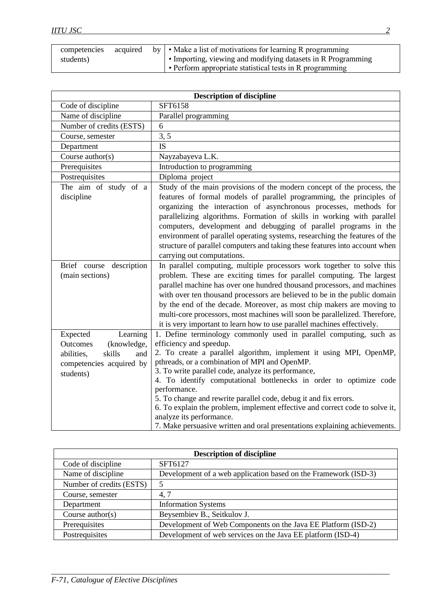| competencies<br>students) | acquired | by   • Make a list of motivations for learning R programming<br>• Importing, viewing and modifying datasets in R Programming |
|---------------------------|----------|------------------------------------------------------------------------------------------------------------------------------|
|                           |          | • Perform appropriate statistical tests in R programming                                                                     |

| <b>Description of discipline</b>                                                                                        |                                                                                                                                                                                                                                                                                                                                                                                                                                                                                                                                                                                                                                 |  |
|-------------------------------------------------------------------------------------------------------------------------|---------------------------------------------------------------------------------------------------------------------------------------------------------------------------------------------------------------------------------------------------------------------------------------------------------------------------------------------------------------------------------------------------------------------------------------------------------------------------------------------------------------------------------------------------------------------------------------------------------------------------------|--|
| Code of discipline                                                                                                      | SFT6158                                                                                                                                                                                                                                                                                                                                                                                                                                                                                                                                                                                                                         |  |
| Name of discipline                                                                                                      | Parallel programming                                                                                                                                                                                                                                                                                                                                                                                                                                                                                                                                                                                                            |  |
| Number of credits (ESTS)                                                                                                | 6                                                                                                                                                                                                                                                                                                                                                                                                                                                                                                                                                                                                                               |  |
| Course, semester                                                                                                        | 3, 5                                                                                                                                                                                                                                                                                                                                                                                                                                                                                                                                                                                                                            |  |
| Department                                                                                                              | <b>IS</b>                                                                                                                                                                                                                                                                                                                                                                                                                                                                                                                                                                                                                       |  |
| Course author(s)                                                                                                        | Nayzabayeva L.K.                                                                                                                                                                                                                                                                                                                                                                                                                                                                                                                                                                                                                |  |
| Prerequisites                                                                                                           | Introduction to programming                                                                                                                                                                                                                                                                                                                                                                                                                                                                                                                                                                                                     |  |
| Postrequisites                                                                                                          | Diploma project                                                                                                                                                                                                                                                                                                                                                                                                                                                                                                                                                                                                                 |  |
| The aim of study of a<br>discipline                                                                                     | Study of the main provisions of the modern concept of the process, the<br>features of formal models of parallel programming, the principles of<br>organizing the interaction of asynchronous processes, methods for<br>parallelizing algorithms. Formation of skills in working with parallel<br>computers, development and debugging of parallel programs in the<br>environment of parallel operating systems, researching the features of the<br>structure of parallel computers and taking these features into account when<br>carrying out computations.                                                                    |  |
| Brief course description<br>(main sections)                                                                             | In parallel computing, multiple processors work together to solve this<br>problem. These are exciting times for parallel computing. The largest<br>parallel machine has over one hundred thousand processors, and machines<br>with over ten thousand processors are believed to be in the public domain<br>by the end of the decade. Moreover, as most chip makers are moving to<br>multi-core processors, most machines will soon be parallelized. Therefore,<br>it is very important to learn how to use parallel machines effectively.                                                                                       |  |
| Expected<br>Learning<br>(knowledge,<br>Outcomes<br>abilities,<br>skills<br>and<br>competencies acquired by<br>students) | 1. Define terminology commonly used in parallel computing, such as<br>efficiency and speedup.<br>2. To create a parallel algorithm, implement it using MPI, OpenMP,<br>pthreads, or a combination of MPI and OpenMP.<br>3. To write parallel code, analyze its performance,<br>4. To identify computational bottlenecks in order to optimize code<br>performance.<br>5. To change and rewrite parallel code, debug it and fix errors.<br>6. To explain the problem, implement effective and correct code to solve it,<br>analyze its performance.<br>7. Make persuasive written and oral presentations explaining achievements. |  |

| <b>Description of discipline</b> |                                                                 |  |
|----------------------------------|-----------------------------------------------------------------|--|
| Code of discipline               | SFT6127                                                         |  |
| Name of discipline               | Development of a web application based on the Framework (ISD-3) |  |
| Number of credits (ESTS)         | 5                                                               |  |
| Course, semester                 | 4,7                                                             |  |
| Department                       | <b>Information Systems</b>                                      |  |
| Course $\text{author}(s)$        | Beysembiev B., Seitkulov J.                                     |  |
| Prerequisites                    | Development of Web Components on the Java EE Platform (ISD-2)   |  |
| Postrequisites                   | Development of web services on the Java EE platform (ISD-4)     |  |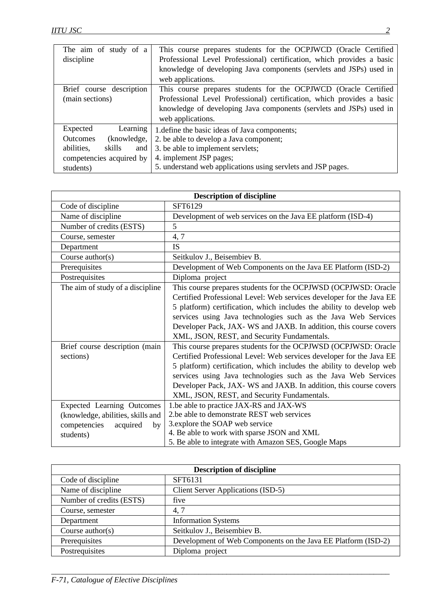| The aim of study of a<br>discipline | This course prepares students for the OCPJWCD (Oracle Certified<br>Professional Level Professional) certification, which provides a basic |
|-------------------------------------|-------------------------------------------------------------------------------------------------------------------------------------------|
|                                     | knowledge of developing Java components (servlets and JSPs) used in                                                                       |
|                                     | web applications.                                                                                                                         |
| Brief course description            | This course prepares students for the OCPJWCD (Oracle Certified                                                                           |
| (main sections)                     | Professional Level Professional) certification, which provides a basic                                                                    |
|                                     | knowledge of developing Java components (servlets and JSPs) used in                                                                       |
|                                     | web applications.                                                                                                                         |
| Learning<br>Expected                | 1. define the basic ideas of Java components;                                                                                             |
| <b>Outcomes</b><br>(knowledge,      | 2. be able to develop a Java component;                                                                                                   |
| abilities,<br>skills<br>and         | 3. be able to implement servlets;                                                                                                         |
| competencies acquired by            | 4. implement JSP pages;                                                                                                                   |
| students)                           | 5. understand web applications using servlets and JSP pages.                                                                              |

| <b>Description of discipline</b>  |                                                                      |  |
|-----------------------------------|----------------------------------------------------------------------|--|
| Code of discipline                | SFT6129                                                              |  |
| Name of discipline                | Development of web services on the Java EE platform (ISD-4)          |  |
| Number of credits (ESTS)          | 5                                                                    |  |
| Course, semester                  | 4,7                                                                  |  |
| Department                        | <b>IS</b>                                                            |  |
| Course $\text{author}(s)$         | Seitkulov J., Beisembiev B.                                          |  |
| Prerequisites                     | Development of Web Components on the Java EE Platform (ISD-2)        |  |
| Postrequisites                    | Diploma project                                                      |  |
| The aim of study of a discipline  | This course prepares students for the OCPJWSD (OCPJWSD: Oracle       |  |
|                                   | Certified Professional Level: Web services developer for the Java EE |  |
|                                   | 5 platform) certification, which includes the ability to develop web |  |
|                                   | services using Java technologies such as the Java Web Services       |  |
|                                   | Developer Pack, JAX-WS and JAXB. In addition, this course covers     |  |
|                                   | XML, JSON, REST, and Security Fundamentals.                          |  |
| Brief course description (main    | This course prepares students for the OCPJWSD (OCPJWSD: Oracle       |  |
| sections)                         | Certified Professional Level: Web services developer for the Java EE |  |
|                                   | 5 platform) certification, which includes the ability to develop web |  |
|                                   | services using Java technologies such as the Java Web Services       |  |
|                                   | Developer Pack, JAX-WS and JAXB. In addition, this course covers     |  |
|                                   | XML, JSON, REST, and Security Fundamentals.                          |  |
| <b>Expected Learning Outcomes</b> | 1.be able to practice JAX-RS and JAX-WS                              |  |
| (knowledge, abilities, skills and | 2.be able to demonstrate REST web services                           |  |
| competencies<br>acquired<br>by    | 3.explore the SOAP web service                                       |  |
| students)                         | 4. Be able to work with sparse JSON and XML                          |  |
|                                   | 5. Be able to integrate with Amazon SES, Google Maps                 |  |

| <b>Description of discipline</b> |                                                               |
|----------------------------------|---------------------------------------------------------------|
| Code of discipline               | SFT6131                                                       |
| Name of discipline               | <b>Client Server Applications (ISD-5)</b>                     |
| Number of credits (ESTS)         | five                                                          |
| Course, semester                 | 4,7                                                           |
| Department                       | <b>Information Systems</b>                                    |
| Course $\text{author}(s)$        | Seitkulov J., Beisembiev B.                                   |
| Prerequisites                    | Development of Web Components on the Java EE Platform (ISD-2) |
| Postrequisites                   | Diploma project                                               |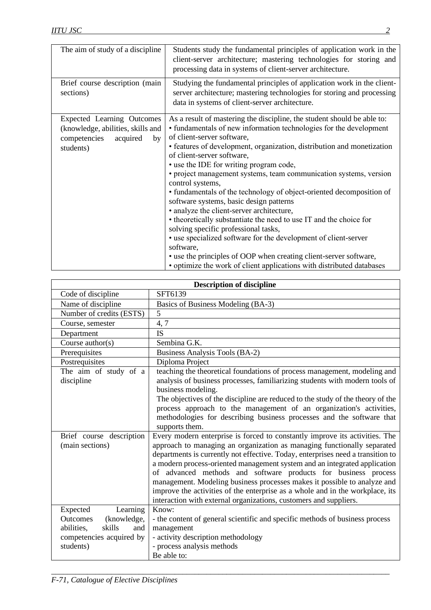| The aim of study of a discipline                                                                                      | Students study the fundamental principles of application work in the<br>client-server architecture; mastering technologies for storing and<br>processing data in systems of client-server architecture.                                                                                                                                                                                                                                                                                                                                                                                                                                                                                                                                                                                                                                                                                                                             |
|-----------------------------------------------------------------------------------------------------------------------|-------------------------------------------------------------------------------------------------------------------------------------------------------------------------------------------------------------------------------------------------------------------------------------------------------------------------------------------------------------------------------------------------------------------------------------------------------------------------------------------------------------------------------------------------------------------------------------------------------------------------------------------------------------------------------------------------------------------------------------------------------------------------------------------------------------------------------------------------------------------------------------------------------------------------------------|
| Brief course description (main<br>sections)                                                                           | Studying the fundamental principles of application work in the client-<br>server architecture; mastering technologies for storing and processing<br>data in systems of client-server architecture.                                                                                                                                                                                                                                                                                                                                                                                                                                                                                                                                                                                                                                                                                                                                  |
| <b>Expected Learning Outcomes</b><br>(knowledge, abilities, skills and<br>competencies<br>acquired<br>by<br>students) | As a result of mastering the discipline, the student should be able to:<br>• fundamentals of new information technologies for the development<br>of client-server software,<br>• features of development, organization, distribution and monetization<br>of client-server software,<br>• use the IDE for writing program code,<br>• project management systems, team communication systems, version<br>control systems,<br>• fundamentals of the technology of object-oriented decomposition of<br>software systems, basic design patterns<br>• analyze the client-server architecture,<br>• theoretically substantiate the need to use IT and the choice for<br>solving specific professional tasks,<br>• use specialized software for the development of client-server<br>software,<br>• use the principles of OOP when creating client-server software,<br>• optimize the work of client applications with distributed databases |

| <b>Description of discipline</b> |                                                                                 |
|----------------------------------|---------------------------------------------------------------------------------|
| Code of discipline               | SFT6139                                                                         |
| Name of discipline               | Basics of Business Modeling (BA-3)                                              |
| Number of credits (ESTS)         | 5                                                                               |
| Course, semester                 | 4,7                                                                             |
| Department                       | <b>IS</b>                                                                       |
| Course $\text{author}(s)$        | Sembina G.K.                                                                    |
| Prerequisites                    | Business Analysis Tools (BA-2)                                                  |
| Postrequisites                   | Diploma Project                                                                 |
| The aim of study of a            | teaching the theoretical foundations of process management, modeling and        |
| discipline                       | analysis of business processes, familiarizing students with modern tools of     |
|                                  | business modeling.                                                              |
|                                  | The objectives of the discipline are reduced to the study of the theory of the  |
|                                  | process approach to the management of an organization's activities,             |
|                                  | methodologies for describing business processes and the software that           |
|                                  | supports them.                                                                  |
| Brief course description         | Every modern enterprise is forced to constantly improve its activities. The     |
| (main sections)                  | approach to managing an organization as managing functionally separated         |
|                                  | departments is currently not effective. Today, enterprises need a transition to |
|                                  | a modern process-oriented management system and an integrated application       |
|                                  | of advanced methods and software products for business process                  |
|                                  | management. Modeling business processes makes it possible to analyze and        |
|                                  | improve the activities of the enterprise as a whole and in the workplace, its   |
|                                  | interaction with external organizations, customers and suppliers.               |
| Expected<br>Learning             | Know:                                                                           |
| (knowledge,<br>Outcomes          | - the content of general scientific and specific methods of business process    |
| skills<br>abilities,<br>and      | management                                                                      |
| competencies acquired by         | - activity description methodology                                              |
| students)                        | - process analysis methods                                                      |
|                                  | Be able to:                                                                     |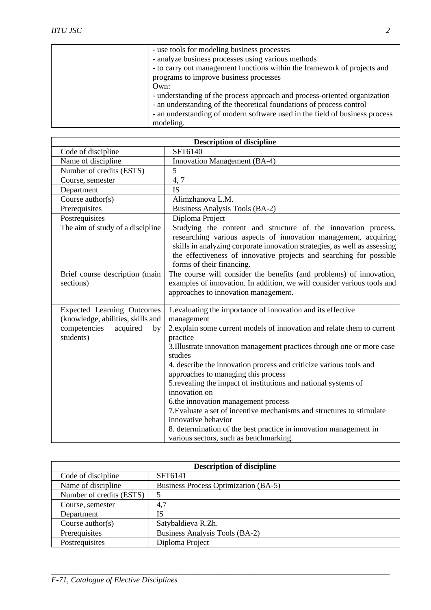| - use tools for modeling business processes                                 |
|-----------------------------------------------------------------------------|
| - analyze business processes using various methods                          |
| - to carry out management functions within the framework of projects and    |
| programs to improve business processes                                      |
| Own:                                                                        |
| - understanding of the process approach and process-oriented organization   |
| - an understanding of the theoretical foundations of process control        |
| - an understanding of modern software used in the field of business process |
| modeling.                                                                   |
|                                                                             |

| <b>Description of discipline</b>                                                                                      |                                                                                                                                                                                                                                                                                                                                                                                                                                                                                                                                                                                                                                                                                                             |  |
|-----------------------------------------------------------------------------------------------------------------------|-------------------------------------------------------------------------------------------------------------------------------------------------------------------------------------------------------------------------------------------------------------------------------------------------------------------------------------------------------------------------------------------------------------------------------------------------------------------------------------------------------------------------------------------------------------------------------------------------------------------------------------------------------------------------------------------------------------|--|
| Code of discipline                                                                                                    | SFT6140                                                                                                                                                                                                                                                                                                                                                                                                                                                                                                                                                                                                                                                                                                     |  |
| Name of discipline                                                                                                    | Innovation Management (BA-4)                                                                                                                                                                                                                                                                                                                                                                                                                                                                                                                                                                                                                                                                                |  |
| Number of credits (ESTS)                                                                                              | 5                                                                                                                                                                                                                                                                                                                                                                                                                                                                                                                                                                                                                                                                                                           |  |
| Course, semester                                                                                                      | 4,7                                                                                                                                                                                                                                                                                                                                                                                                                                                                                                                                                                                                                                                                                                         |  |
| Department                                                                                                            | <b>IS</b>                                                                                                                                                                                                                                                                                                                                                                                                                                                                                                                                                                                                                                                                                                   |  |
| Course $\text{author}(s)$                                                                                             | Alimzhanova L.M.                                                                                                                                                                                                                                                                                                                                                                                                                                                                                                                                                                                                                                                                                            |  |
| Prerequisites                                                                                                         | Business Analysis Tools (BA-2)                                                                                                                                                                                                                                                                                                                                                                                                                                                                                                                                                                                                                                                                              |  |
| Postrequisites                                                                                                        | Diploma Project                                                                                                                                                                                                                                                                                                                                                                                                                                                                                                                                                                                                                                                                                             |  |
| The aim of study of a discipline                                                                                      | Studying the content and structure of the innovation process,<br>researching various aspects of innovation management, acquiring<br>skills in analyzing corporate innovation strategies, as well as assessing<br>the effectiveness of innovative projects and searching for possible<br>forms of their financing.                                                                                                                                                                                                                                                                                                                                                                                           |  |
| Brief course description (main<br>sections)                                                                           | The course will consider the benefits (and problems) of innovation,<br>examples of innovation. In addition, we will consider various tools and<br>approaches to innovation management.                                                                                                                                                                                                                                                                                                                                                                                                                                                                                                                      |  |
| <b>Expected Learning Outcomes</b><br>(knowledge, abilities, skills and<br>competencies<br>acquired<br>by<br>students) | 1.evaluating the importance of innovation and its effective<br>management<br>2.explain some current models of innovation and relate them to current<br>practice<br>3. Illustrate innovation management practices through one or more case<br>studies<br>4. describe the innovation process and criticize various tools and<br>approaches to managing this process<br>5. revealing the impact of institutions and national systems of<br>innovation on<br>6.the innovation management process<br>7. Evaluate a set of incentive mechanisms and structures to stimulate<br>innovative behavior<br>8. determination of the best practice in innovation management in<br>various sectors, such as benchmarking. |  |

| <b>Description of discipline</b> |                                             |
|----------------------------------|---------------------------------------------|
| Code of discipline               | SFT6141                                     |
| Name of discipline               | <b>Business Process Optimization (BA-5)</b> |
| Number of credits (ESTS)         |                                             |
| Course, semester                 | 4,7                                         |
| Department                       | IS                                          |
| Course $\text{author}(s)$        | Satybaldieva R.Zh.                          |
| Prerequisites                    | Business Analysis Tools (BA-2)              |
| Postrequisites                   | Diploma Project                             |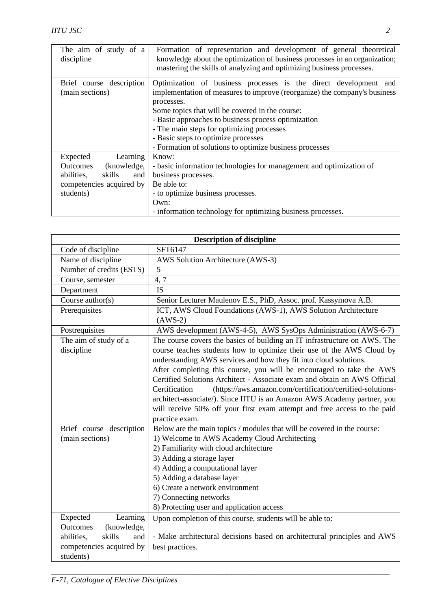| The aim of study of a<br>discipline | Formation of representation and development of general theoretical<br>knowledge about the optimization of business processes in an organization;<br>mastering the skills of analyzing and optimizing business processes. |
|-------------------------------------|--------------------------------------------------------------------------------------------------------------------------------------------------------------------------------------------------------------------------|
| Brief course description            | Optimization of business processes is the direct development and                                                                                                                                                         |
| (main sections)                     | implementation of measures to improve (reorganize) the company's business                                                                                                                                                |
|                                     | processes.                                                                                                                                                                                                               |
|                                     | Some topics that will be covered in the course:                                                                                                                                                                          |
|                                     | - Basic approaches to business process optimization                                                                                                                                                                      |
|                                     | - The main steps for optimizing processes                                                                                                                                                                                |
|                                     | - Basic steps to optimize processes                                                                                                                                                                                      |
|                                     | - Formation of solutions to optimize business processes                                                                                                                                                                  |
| Learning<br>Expected                | Know:                                                                                                                                                                                                                    |
| <b>Outcomes</b><br>(knowledge,      | - basic information technologies for management and optimization of                                                                                                                                                      |
| skills<br>abilities,<br>and         | business processes.                                                                                                                                                                                                      |
| competencies acquired by            | Be able to:                                                                                                                                                                                                              |
| students)                           | - to optimize business processes.                                                                                                                                                                                        |
|                                     | Own:                                                                                                                                                                                                                     |
|                                     | - information technology for optimizing business processes.                                                                                                                                                              |

| <b>Description of discipline</b>      |                                                                                                                                                                                                                                                                                                                                                                                                                                                                                                                                                                                                                                      |  |
|---------------------------------------|--------------------------------------------------------------------------------------------------------------------------------------------------------------------------------------------------------------------------------------------------------------------------------------------------------------------------------------------------------------------------------------------------------------------------------------------------------------------------------------------------------------------------------------------------------------------------------------------------------------------------------------|--|
| Code of discipline                    | SFT6147                                                                                                                                                                                                                                                                                                                                                                                                                                                                                                                                                                                                                              |  |
| Name of discipline                    | AWS Solution Architecture (AWS-3)                                                                                                                                                                                                                                                                                                                                                                                                                                                                                                                                                                                                    |  |
| Number of credits (ESTS)              | 5                                                                                                                                                                                                                                                                                                                                                                                                                                                                                                                                                                                                                                    |  |
| Course, semester                      | 4, 7                                                                                                                                                                                                                                                                                                                                                                                                                                                                                                                                                                                                                                 |  |
| Department                            | <b>IS</b>                                                                                                                                                                                                                                                                                                                                                                                                                                                                                                                                                                                                                            |  |
| Course $\text{author}(s)$             | Senior Lecturer Maulenov E.S., PhD, Assoc. prof. Kassymova A.B.                                                                                                                                                                                                                                                                                                                                                                                                                                                                                                                                                                      |  |
| Prerequisites                         | ICT, AWS Cloud Foundations (AWS-1), AWS Solution Architecture<br>$(AWS-2)$                                                                                                                                                                                                                                                                                                                                                                                                                                                                                                                                                           |  |
| Postrequisites                        | AWS development (AWS-4-5), AWS SysOps Administration (AWS-6-7)                                                                                                                                                                                                                                                                                                                                                                                                                                                                                                                                                                       |  |
| The aim of study of a<br>discipline   | The course covers the basics of building an IT infrastructure on AWS. The<br>course teaches students how to optimize their use of the AWS Cloud by<br>understanding AWS services and how they fit into cloud solutions.<br>After completing this course, you will be encouraged to take the AWS<br>Certified Solutions Architect - Associate exam and obtain an AWS Official<br>Certification<br>(https://aws.amazon.com/certification/certified-solutions-<br>architect-associate/). Since IITU is an Amazon AWS Academy partner, you<br>will receive 50% off your first exam attempt and free access to the paid<br>practice exam. |  |
| Brief course description              | Below are the main topics / modules that will be covered in the course:                                                                                                                                                                                                                                                                                                                                                                                                                                                                                                                                                              |  |
| (main sections)                       | 1) Welcome to AWS Academy Cloud Architecting                                                                                                                                                                                                                                                                                                                                                                                                                                                                                                                                                                                         |  |
|                                       | 2) Familiarity with cloud architecture                                                                                                                                                                                                                                                                                                                                                                                                                                                                                                                                                                                               |  |
|                                       | 3) Adding a storage layer                                                                                                                                                                                                                                                                                                                                                                                                                                                                                                                                                                                                            |  |
|                                       | 4) Adding a computational layer                                                                                                                                                                                                                                                                                                                                                                                                                                                                                                                                                                                                      |  |
|                                       | 5) Adding a database layer                                                                                                                                                                                                                                                                                                                                                                                                                                                                                                                                                                                                           |  |
|                                       | 6) Create a network environment                                                                                                                                                                                                                                                                                                                                                                                                                                                                                                                                                                                                      |  |
|                                       | 7) Connecting networks                                                                                                                                                                                                                                                                                                                                                                                                                                                                                                                                                                                                               |  |
|                                       | 8) Protecting user and application access                                                                                                                                                                                                                                                                                                                                                                                                                                                                                                                                                                                            |  |
| Learning<br>Expected                  | Upon completion of this course, students will be able to:                                                                                                                                                                                                                                                                                                                                                                                                                                                                                                                                                                            |  |
| Outcomes<br>(knowledge,<br>skills     |                                                                                                                                                                                                                                                                                                                                                                                                                                                                                                                                                                                                                                      |  |
| abilities,<br>and                     | - Make architectural decisions based on architectural principles and AWS                                                                                                                                                                                                                                                                                                                                                                                                                                                                                                                                                             |  |
| competencies acquired by<br>students) | best practices.                                                                                                                                                                                                                                                                                                                                                                                                                                                                                                                                                                                                                      |  |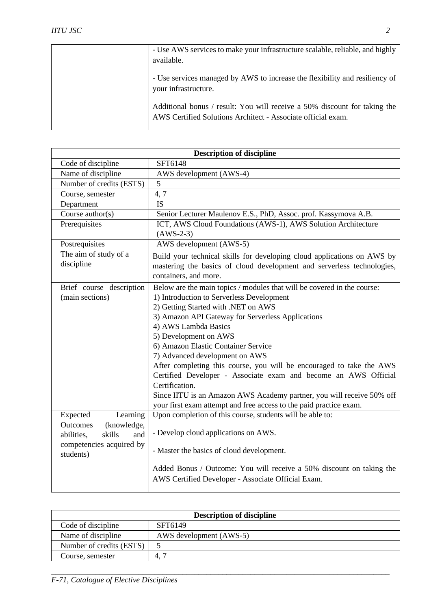| - Use AWS services to make your infrastructure scalable, reliable, and highly                                                             |
|-------------------------------------------------------------------------------------------------------------------------------------------|
| available.                                                                                                                                |
| - Use services managed by AWS to increase the flexibility and resiliency of<br>your infrastructure.                                       |
| Additional bonus / result: You will receive a 50% discount for taking the<br>AWS Certified Solutions Architect - Associate official exam. |

| <b>Description of discipline</b>              |                                                                         |  |
|-----------------------------------------------|-------------------------------------------------------------------------|--|
| Code of discipline                            | SFT6148                                                                 |  |
| Name of discipline                            | AWS development (AWS-4)                                                 |  |
| Number of credits (ESTS)                      | 5                                                                       |  |
| Course, semester                              | 4,7                                                                     |  |
| Department                                    | <b>IS</b>                                                               |  |
| Course $\text{author}(s)$                     | Senior Lecturer Maulenov E.S., PhD, Assoc. prof. Kassymova A.B.         |  |
| Prerequisites                                 | ICT, AWS Cloud Foundations (AWS-1), AWS Solution Architecture           |  |
|                                               | $(AWS-2-3)$                                                             |  |
| Postrequisites                                | AWS development (AWS-5)                                                 |  |
| The aim of study of a                         | Build your technical skills for developing cloud applications on AWS by |  |
| discipline                                    | mastering the basics of cloud development and serverless technologies,  |  |
|                                               | containers, and more.                                                   |  |
| Brief course description                      | Below are the main topics / modules that will be covered in the course: |  |
| (main sections)                               | 1) Introduction to Serverless Development                               |  |
|                                               | 2) Getting Started with .NET on AWS                                     |  |
|                                               | 3) Amazon API Gateway for Serverless Applications                       |  |
|                                               | 4) AWS Lambda Basics                                                    |  |
|                                               | 5) Development on AWS                                                   |  |
|                                               | 6) Amazon Elastic Container Service                                     |  |
|                                               | 7) Advanced development on AWS                                          |  |
|                                               | After completing this course, you will be encouraged to take the AWS    |  |
|                                               | Certified Developer - Associate exam and become an AWS Official         |  |
|                                               | Certification.                                                          |  |
|                                               | Since IITU is an Amazon AWS Academy partner, you will receive 50% off   |  |
|                                               | your first exam attempt and free access to the paid practice exam.      |  |
| Expected<br>Learning                          | Upon completion of this course, students will be able to:               |  |
| Outcomes<br>(knowledge,<br>skills             | - Develop cloud applications on AWS.                                    |  |
| abilities,<br>and<br>competencies acquired by |                                                                         |  |
| students)                                     | - Master the basics of cloud development.                               |  |
|                                               |                                                                         |  |
|                                               | Added Bonus / Outcome: You will receive a 50% discount on taking the    |  |
|                                               | AWS Certified Developer - Associate Official Exam.                      |  |
|                                               |                                                                         |  |

| <b>Description of discipline</b> |                         |
|----------------------------------|-------------------------|
| Code of discipline               | SFT6149                 |
| Name of discipline               | AWS development (AWS-5) |
| Number of credits (ESTS)         |                         |
| Course, semester                 | 4.                      |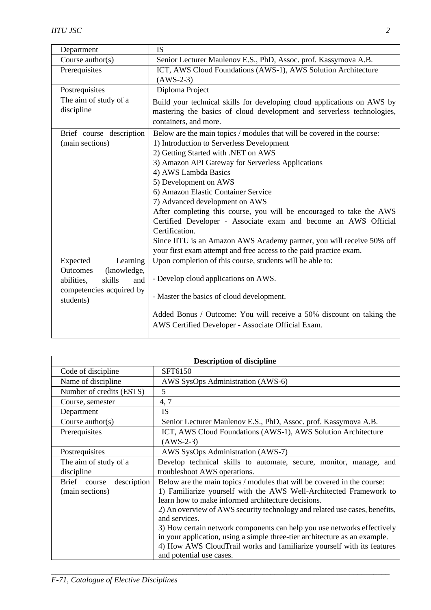| Department                  | <b>IS</b>                                                               |
|-----------------------------|-------------------------------------------------------------------------|
| Course author(s)            | Senior Lecturer Maulenov E.S., PhD, Assoc. prof. Kassymova A.B.         |
| Prerequisites               | ICT, AWS Cloud Foundations (AWS-1), AWS Solution Architecture           |
|                             | $(AWS-2-3)$                                                             |
| Postrequisites              | Diploma Project                                                         |
| The aim of study of a       | Build your technical skills for developing cloud applications on AWS by |
| discipline                  | mastering the basics of cloud development and serverless technologies,  |
|                             | containers, and more.                                                   |
| Brief course description    | Below are the main topics / modules that will be covered in the course: |
| (main sections)             | 1) Introduction to Serverless Development                               |
|                             | 2) Getting Started with .NET on AWS                                     |
|                             | 3) Amazon API Gateway for Serverless Applications                       |
|                             | 4) AWS Lambda Basics                                                    |
|                             | 5) Development on AWS                                                   |
|                             | 6) Amazon Elastic Container Service                                     |
|                             | 7) Advanced development on AWS                                          |
|                             | After completing this course, you will be encouraged to take the AWS    |
|                             | Certified Developer - Associate exam and become an AWS Official         |
|                             | Certification.                                                          |
|                             | Since IITU is an Amazon AWS Academy partner, you will receive 50% off   |
|                             | your first exam attempt and free access to the paid practice exam.      |
| Learning<br>Expected        | Upon completion of this course, students will be able to:               |
| Outcomes<br>(knowledge,     |                                                                         |
| abilities,<br>skills<br>and | - Develop cloud applications on AWS.                                    |
| competencies acquired by    | - Master the basics of cloud development.                               |
| students)                   |                                                                         |
|                             | Added Bonus / Outcome: You will receive a 50% discount on taking the    |
|                             | AWS Certified Developer - Associate Official Exam.                      |
|                             |                                                                         |

| <b>Description of discipline</b> |                                                                            |  |
|----------------------------------|----------------------------------------------------------------------------|--|
| Code of discipline               | SFT6150                                                                    |  |
| Name of discipline               | AWS SysOps Administration (AWS-6)                                          |  |
| Number of credits (ESTS)         | 5                                                                          |  |
| Course, semester                 | 4, 7                                                                       |  |
| Department                       | IS                                                                         |  |
| Course $\text{author}(s)$        | Senior Lecturer Maulenov E.S., PhD, Assoc. prof. Kassymova A.B.            |  |
| Prerequisites                    | ICT, AWS Cloud Foundations (AWS-1), AWS Solution Architecture              |  |
|                                  | $(AWS-2-3)$                                                                |  |
| Postrequisites                   | AWS SysOps Administration (AWS-7)                                          |  |
| The aim of study of a            | Develop technical skills to automate, secure, monitor, manage, and         |  |
| discipline                       | troubleshoot AWS operations.                                               |  |
| description<br>Brief<br>course   | Below are the main topics / modules that will be covered in the course:    |  |
| (main sections)                  | 1) Familiarize yourself with the AWS Well-Architected Framework to         |  |
|                                  | learn how to make informed architecture decisions.                         |  |
|                                  | 2) An overview of AWS security technology and related use cases, benefits, |  |
|                                  | and services.                                                              |  |
|                                  | 3) How certain network components can help you use networks effectively    |  |
|                                  | in your application, using a simple three-tier architecture as an example. |  |
|                                  | 4) How AWS CloudTrail works and familiarize yourself with its features     |  |
|                                  | and potential use cases.                                                   |  |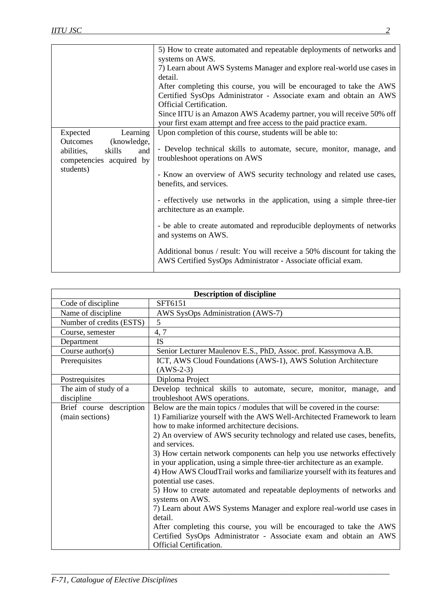| 5) How to create automated and repeatable deployments of networks and     |
|---------------------------------------------------------------------------|
|                                                                           |
| 7) Learn about AWS Systems Manager and explore real-world use cases in    |
|                                                                           |
| After completing this course, you will be encouraged to take the AWS      |
| Certified SysOps Administrator - Associate exam and obtain an AWS         |
|                                                                           |
| Since IITU is an Amazon AWS Academy partner, you will receive 50% off     |
|                                                                           |
|                                                                           |
| - Develop technical skills to automate, secure, monitor, manage, and      |
| - Know an overview of AWS security technology and related use cases,      |
| - effectively use networks in the application, using a simple three-tier  |
| - be able to create automated and reproducible deployments of networks    |
| Additional bonus / result: You will receive a 50% discount for taking the |
|                                                                           |

| <b>Description of discipline</b> |                                                                                             |
|----------------------------------|---------------------------------------------------------------------------------------------|
| Code of discipline               | SFT6151                                                                                     |
| Name of discipline               | AWS SysOps Administration (AWS-7)                                                           |
| Number of credits (ESTS)         | 5                                                                                           |
| Course, semester                 | 4, 7                                                                                        |
| Department                       | <b>IS</b>                                                                                   |
| Course $\text{author}(s)$        | Senior Lecturer Maulenov E.S., PhD, Assoc. prof. Kassymova A.B.                             |
| Prerequisites                    | ICT, AWS Cloud Foundations (AWS-1), AWS Solution Architecture                               |
|                                  | $(AWS-2-3)$                                                                                 |
| Postrequisites                   | Diploma Project                                                                             |
| The aim of study of a            | Develop technical skills to automate, secure, monitor, manage, and                          |
| discipline                       | troubleshoot AWS operations.                                                                |
| Brief course description         | Below are the main topics / modules that will be covered in the course:                     |
| (main sections)                  | 1) Familiarize yourself with the AWS Well-Architected Framework to learn                    |
|                                  | how to make informed architecture decisions.                                                |
|                                  | 2) An overview of AWS security technology and related use cases, benefits,<br>and services. |
|                                  | 3) How certain network components can help you use networks effectively                     |
|                                  | in your application, using a simple three-tier architecture as an example.                  |
|                                  | 4) How AWS CloudTrail works and familiarize yourself with its features and                  |
|                                  | potential use cases.                                                                        |
|                                  | 5) How to create automated and repeatable deployments of networks and<br>systems on AWS.    |
|                                  | 7) Learn about AWS Systems Manager and explore real-world use cases in                      |
|                                  | detail.                                                                                     |
|                                  | After completing this course, you will be encouraged to take the AWS                        |
|                                  | Certified SysOps Administrator - Associate exam and obtain an AWS                           |
|                                  | Official Certification.                                                                     |